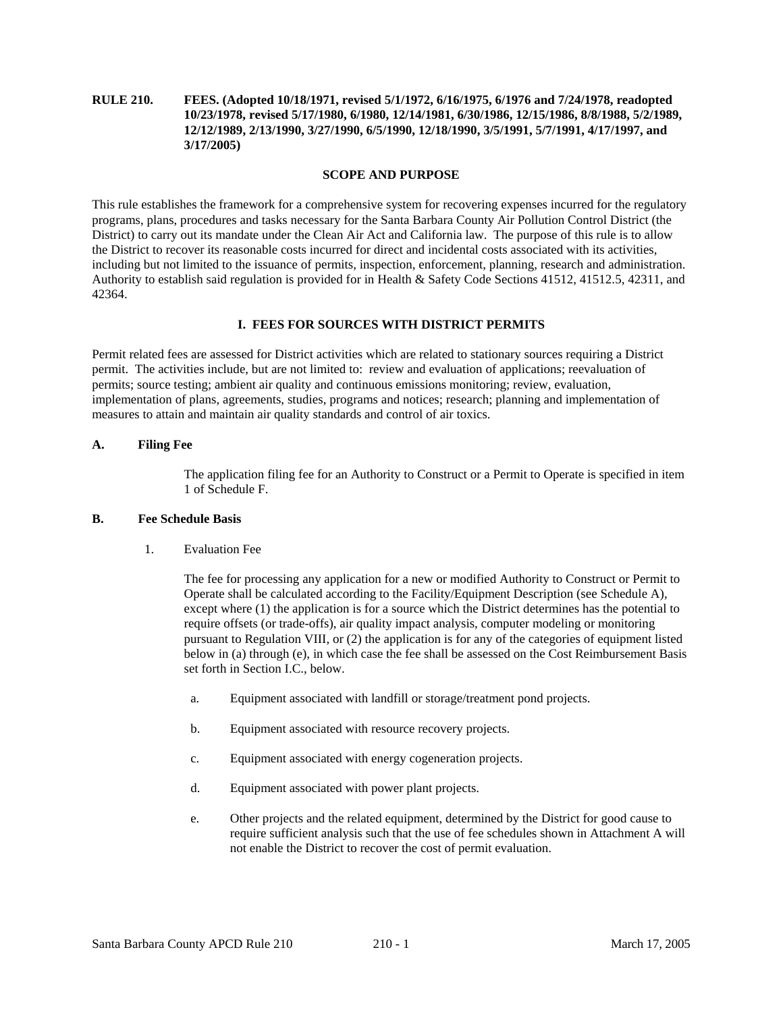# **RULE 210. FEES. (Adopted 10/18/1971, revised 5/1/1972, 6/16/1975, 6/1976 and 7/24/1978, readopted 10/23/1978, revised 5/17/1980, 6/1980, 12/14/1981, 6/30/1986, 12/15/1986, 8/8/1988, 5/2/1989, 12/12/1989, 2/13/1990, 3/27/1990, 6/5/1990, 12/18/1990, 3/5/1991, 5/7/1991, 4/17/1997, and 3/17/2005)**

#### **SCOPE AND PURPOSE**

This rule establishes the framework for a comprehensive system for recovering expenses incurred for the regulatory programs, plans, procedures and tasks necessary for the Santa Barbara County Air Pollution Control District (the District) to carry out its mandate under the Clean Air Act and California law. The purpose of this rule is to allow the District to recover its reasonable costs incurred for direct and incidental costs associated with its activities, including but not limited to the issuance of permits, inspection, enforcement, planning, research and administration. Authority to establish said regulation is provided for in Health & Safety Code Sections 41512, 41512.5, 42311, and 42364.

#### **I. FEES FOR SOURCES WITH DISTRICT PERMITS**

Permit related fees are assessed for District activities which are related to stationary sources requiring a District permit. The activities include, but are not limited to: review and evaluation of applications; reevaluation of permits; source testing; ambient air quality and continuous emissions monitoring; review, evaluation, implementation of plans, agreements, studies, programs and notices; research; planning and implementation of measures to attain and maintain air quality standards and control of air toxics.

#### **A. Filing Fee**

 The application filing fee for an Authority to Construct or a Permit to Operate is specified in item 1 of Schedule F.

#### **B. Fee Schedule Basis**

1. Evaluation Fee

 The fee for processing any application for a new or modified Authority to Construct or Permit to Operate shall be calculated according to the Facility/Equipment Description (see Schedule A), except where (1) the application is for a source which the District determines has the potential to require offsets (or trade-offs), air quality impact analysis, computer modeling or monitoring pursuant to Regulation VIII, or (2) the application is for any of the categories of equipment listed below in (a) through (e), in which case the fee shall be assessed on the Cost Reimbursement Basis set forth in Section I.C., below.

- a. Equipment associated with landfill or storage/treatment pond projects.
- b. Equipment associated with resource recovery projects.
- c. Equipment associated with energy cogeneration projects.
- d. Equipment associated with power plant projects.
- e. Other projects and the related equipment, determined by the District for good cause to require sufficient analysis such that the use of fee schedules shown in Attachment A will not enable the District to recover the cost of permit evaluation.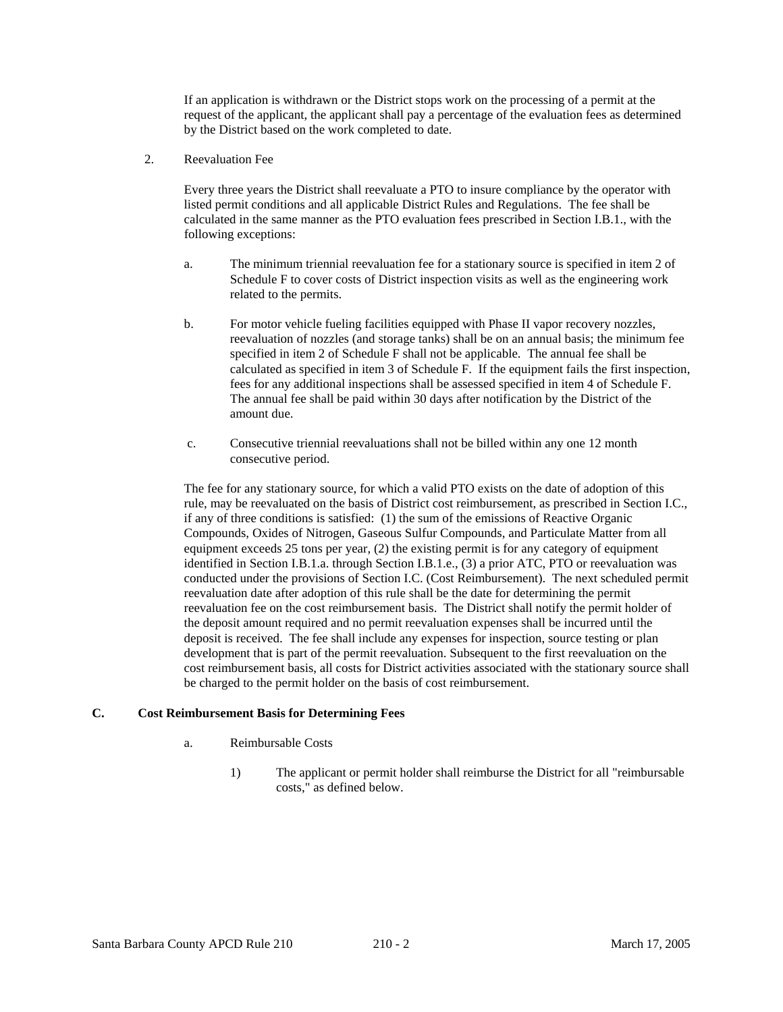If an application is withdrawn or the District stops work on the processing of a permit at the request of the applicant, the applicant shall pay a percentage of the evaluation fees as determined by the District based on the work completed to date.

2. Reevaluation Fee

 Every three years the District shall reevaluate a PTO to insure compliance by the operator with listed permit conditions and all applicable District Rules and Regulations. The fee shall be calculated in the same manner as the PTO evaluation fees prescribed in Section I.B.1., with the following exceptions:

- a. The minimum triennial reevaluation fee for a stationary source is specified in item 2 of Schedule F to cover costs of District inspection visits as well as the engineering work related to the permits.
- b. For motor vehicle fueling facilities equipped with Phase II vapor recovery nozzles, reevaluation of nozzles (and storage tanks) shall be on an annual basis; the minimum fee specified in item 2 of Schedule F shall not be applicable. The annual fee shall be calculated as specified in item 3 of Schedule F. If the equipment fails the first inspection, fees for any additional inspections shall be assessed specified in item 4 of Schedule F. The annual fee shall be paid within 30 days after notification by the District of the amount due.
- c. Consecutive triennial reevaluations shall not be billed within any one 12 month consecutive period.

 The fee for any stationary source, for which a valid PTO exists on the date of adoption of this rule, may be reevaluated on the basis of District cost reimbursement, as prescribed in Section I.C., if any of three conditions is satisfied: (1) the sum of the emissions of Reactive Organic Compounds, Oxides of Nitrogen, Gaseous Sulfur Compounds, and Particulate Matter from all equipment exceeds 25 tons per year, (2) the existing permit is for any category of equipment identified in Section I.B.1.a. through Section I.B.1.e., (3) a prior ATC, PTO or reevaluation was conducted under the provisions of Section I.C. (Cost Reimbursement). The next scheduled permit reevaluation date after adoption of this rule shall be the date for determining the permit reevaluation fee on the cost reimbursement basis. The District shall notify the permit holder of the deposit amount required and no permit reevaluation expenses shall be incurred until the deposit is received. The fee shall include any expenses for inspection, source testing or plan development that is part of the permit reevaluation. Subsequent to the first reevaluation on the cost reimbursement basis, all costs for District activities associated with the stationary source shall be charged to the permit holder on the basis of cost reimbursement.

# **C. Cost Reimbursement Basis for Determining Fees**

- a. Reimbursable Costs
	- 1) The applicant or permit holder shall reimburse the District for all "reimbursable costs," as defined below.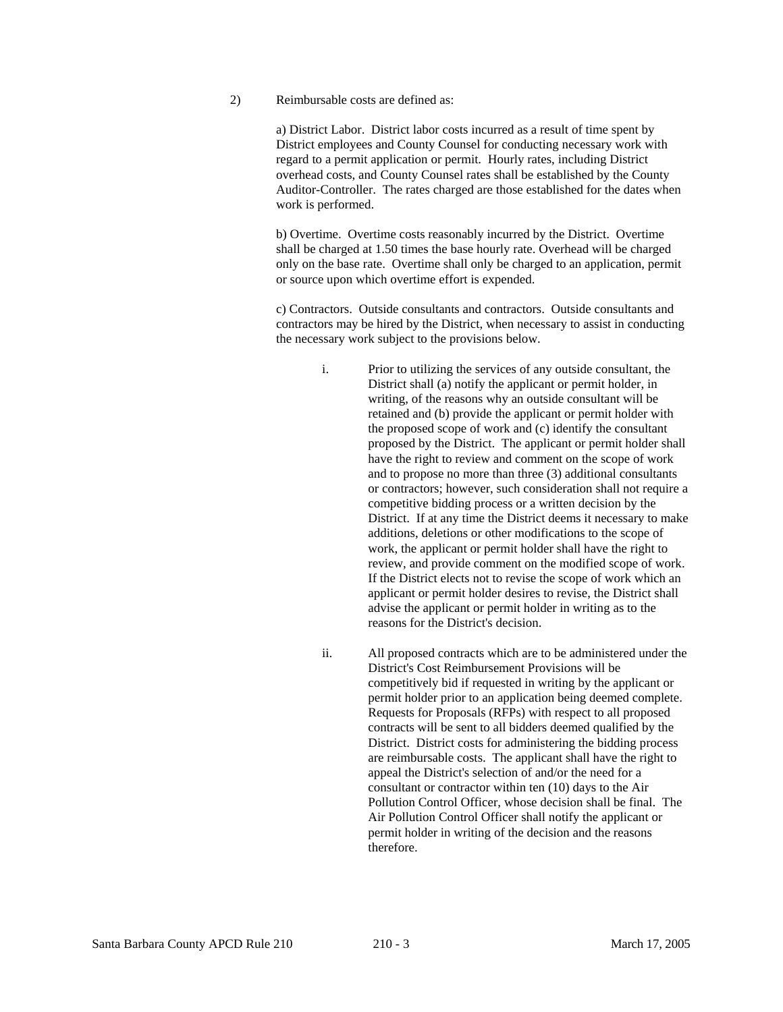2) Reimbursable costs are defined as:

 a) District Labor. District labor costs incurred as a result of time spent by District employees and County Counsel for conducting necessary work with regard to a permit application or permit. Hourly rates, including District overhead costs, and County Counsel rates shall be established by the County Auditor-Controller. The rates charged are those established for the dates when work is performed.

 b) Overtime. Overtime costs reasonably incurred by the District. Overtime shall be charged at 1.50 times the base hourly rate. Overhead will be charged only on the base rate. Overtime shall only be charged to an application, permit or source upon which overtime effort is expended.

 c) Contractors. Outside consultants and contractors. Outside consultants and contractors may be hired by the District, when necessary to assist in conducting the necessary work subject to the provisions below.

- i. Prior to utilizing the services of any outside consultant, the District shall (a) notify the applicant or permit holder, in writing, of the reasons why an outside consultant will be retained and (b) provide the applicant or permit holder with the proposed scope of work and (c) identify the consultant proposed by the District. The applicant or permit holder shall have the right to review and comment on the scope of work and to propose no more than three (3) additional consultants or contractors; however, such consideration shall not require a competitive bidding process or a written decision by the District. If at any time the District deems it necessary to make additions, deletions or other modifications to the scope of work, the applicant or permit holder shall have the right to review, and provide comment on the modified scope of work. If the District elects not to revise the scope of work which an applicant or permit holder desires to revise, the District shall advise the applicant or permit holder in writing as to the reasons for the District's decision.
- ii. All proposed contracts which are to be administered under the District's Cost Reimbursement Provisions will be competitively bid if requested in writing by the applicant or permit holder prior to an application being deemed complete. Requests for Proposals (RFPs) with respect to all proposed contracts will be sent to all bidders deemed qualified by the District. District costs for administering the bidding process are reimbursable costs. The applicant shall have the right to appeal the District's selection of and/or the need for a consultant or contractor within ten (10) days to the Air Pollution Control Officer, whose decision shall be final. The Air Pollution Control Officer shall notify the applicant or permit holder in writing of the decision and the reasons therefore.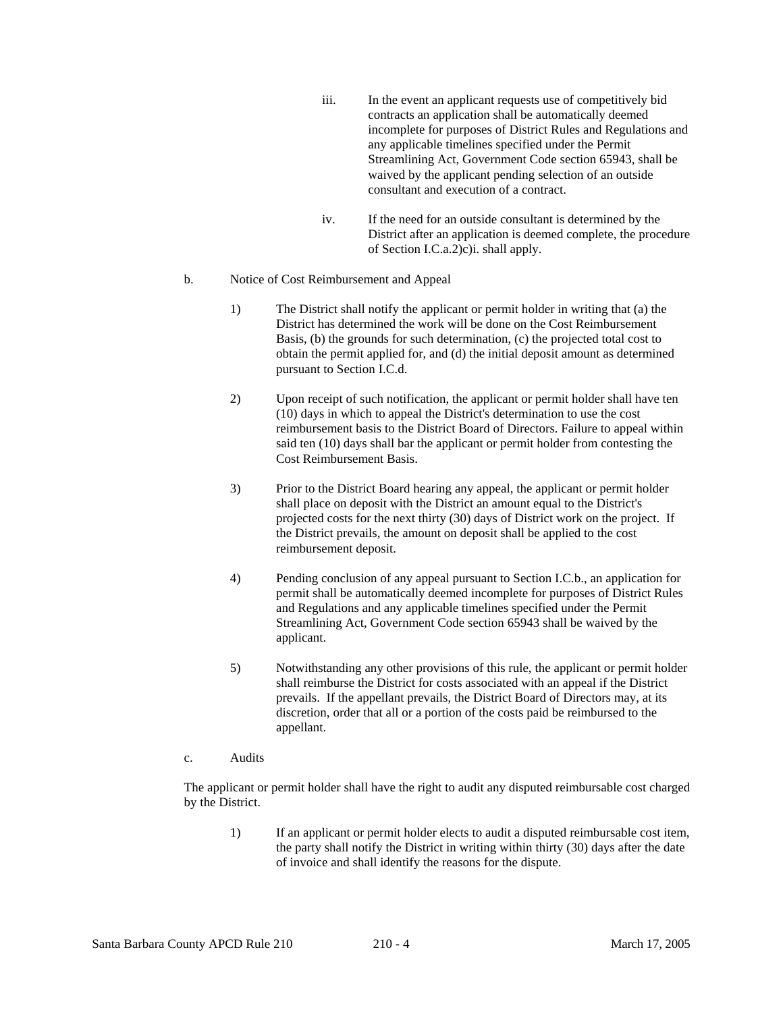- iii. In the event an applicant requests use of competitively bid contracts an application shall be automatically deemed incomplete for purposes of District Rules and Regulations and any applicable timelines specified under the Permit Streamlining Act, Government Code section 65943, shall be waived by the applicant pending selection of an outside consultant and execution of a contract.
- iv. If the need for an outside consultant is determined by the District after an application is deemed complete, the procedure of Section I.C.a.2)c)i. shall apply.

#### b. Notice of Cost Reimbursement and Appeal

- 1) The District shall notify the applicant or permit holder in writing that (a) the District has determined the work will be done on the Cost Reimbursement Basis, (b) the grounds for such determination, (c) the projected total cost to obtain the permit applied for, and (d) the initial deposit amount as determined pursuant to Section I.C.d.
- 2) Upon receipt of such notification, the applicant or permit holder shall have ten (10) days in which to appeal the District's determination to use the cost reimbursement basis to the District Board of Directors. Failure to appeal within said ten (10) days shall bar the applicant or permit holder from contesting the Cost Reimbursement Basis.
- 3) Prior to the District Board hearing any appeal, the applicant or permit holder shall place on deposit with the District an amount equal to the District's projected costs for the next thirty (30) days of District work on the project. If the District prevails, the amount on deposit shall be applied to the cost reimbursement deposit.
- 4) Pending conclusion of any appeal pursuant to Section I.C.b., an application for permit shall be automatically deemed incomplete for purposes of District Rules and Regulations and any applicable timelines specified under the Permit Streamlining Act, Government Code section 65943 shall be waived by the applicant.
- 5) Notwithstanding any other provisions of this rule, the applicant or permit holder shall reimburse the District for costs associated with an appeal if the District prevails. If the appellant prevails, the District Board of Directors may, at its discretion, order that all or a portion of the costs paid be reimbursed to the appellant.

## c. Audits

 The applicant or permit holder shall have the right to audit any disputed reimbursable cost charged by the District.

 1) If an applicant or permit holder elects to audit a disputed reimbursable cost item, the party shall notify the District in writing within thirty (30) days after the date of invoice and shall identify the reasons for the dispute.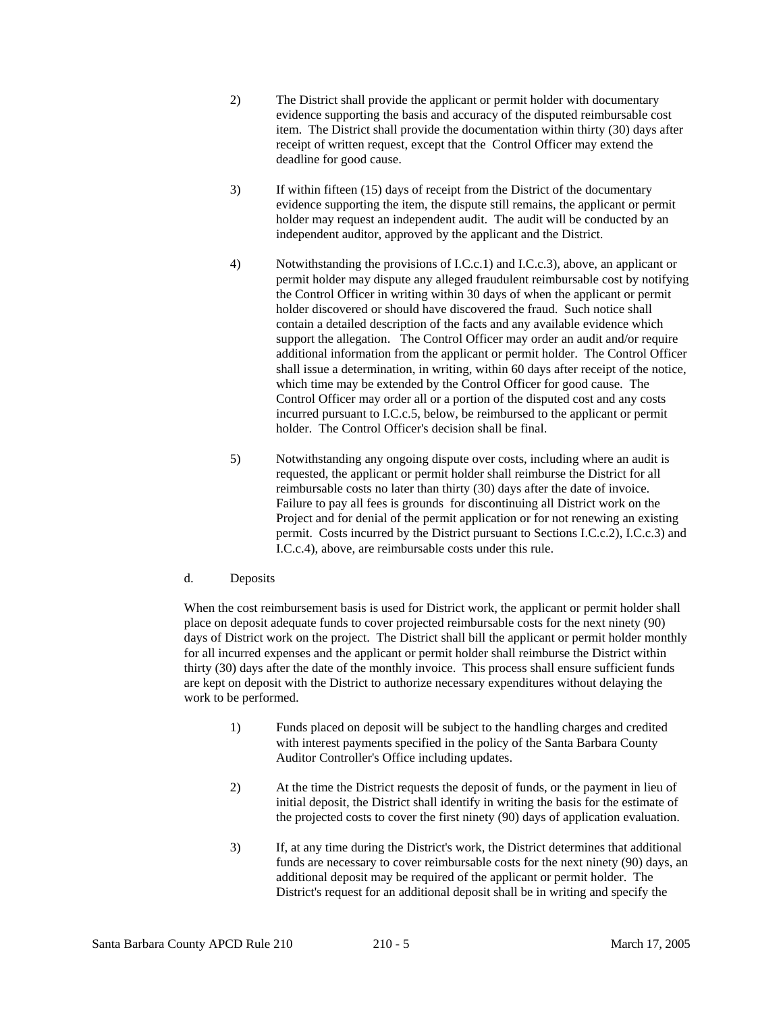- 2) The District shall provide the applicant or permit holder with documentary evidence supporting the basis and accuracy of the disputed reimbursable cost item. The District shall provide the documentation within thirty (30) days after receipt of written request, except that the Control Officer may extend the deadline for good cause.
- 3) If within fifteen (15) days of receipt from the District of the documentary evidence supporting the item, the dispute still remains, the applicant or permit holder may request an independent audit. The audit will be conducted by an independent auditor, approved by the applicant and the District.
- 4) Notwithstanding the provisions of I.C.c.1) and I.C.c.3), above, an applicant or permit holder may dispute any alleged fraudulent reimbursable cost by notifying the Control Officer in writing within 30 days of when the applicant or permit holder discovered or should have discovered the fraud. Such notice shall contain a detailed description of the facts and any available evidence which support the allegation. The Control Officer may order an audit and/or require additional information from the applicant or permit holder. The Control Officer shall issue a determination, in writing, within 60 days after receipt of the notice, which time may be extended by the Control Officer for good cause. The Control Officer may order all or a portion of the disputed cost and any costs incurred pursuant to I.C.c.5, below, be reimbursed to the applicant or permit holder. The Control Officer's decision shall be final.
- 5) Notwithstanding any ongoing dispute over costs, including where an audit is requested, the applicant or permit holder shall reimburse the District for all reimbursable costs no later than thirty (30) days after the date of invoice. Failure to pay all fees is grounds for discontinuing all District work on the Project and for denial of the permit application or for not renewing an existing permit. Costs incurred by the District pursuant to Sections I.C.c.2), I.C.c.3) and I.C.c.4), above, are reimbursable costs under this rule.
- d. Deposits

 When the cost reimbursement basis is used for District work, the applicant or permit holder shall place on deposit adequate funds to cover projected reimbursable costs for the next ninety (90) days of District work on the project. The District shall bill the applicant or permit holder monthly for all incurred expenses and the applicant or permit holder shall reimburse the District within thirty (30) days after the date of the monthly invoice. This process shall ensure sufficient funds are kept on deposit with the District to authorize necessary expenditures without delaying the work to be performed.

- 1) Funds placed on deposit will be subject to the handling charges and credited with interest payments specified in the policy of the Santa Barbara County Auditor Controller's Office including updates.
- 2) At the time the District requests the deposit of funds, or the payment in lieu of initial deposit, the District shall identify in writing the basis for the estimate of the projected costs to cover the first ninety (90) days of application evaluation.
- 3) If, at any time during the District's work, the District determines that additional funds are necessary to cover reimbursable costs for the next ninety (90) days, an additional deposit may be required of the applicant or permit holder. The District's request for an additional deposit shall be in writing and specify the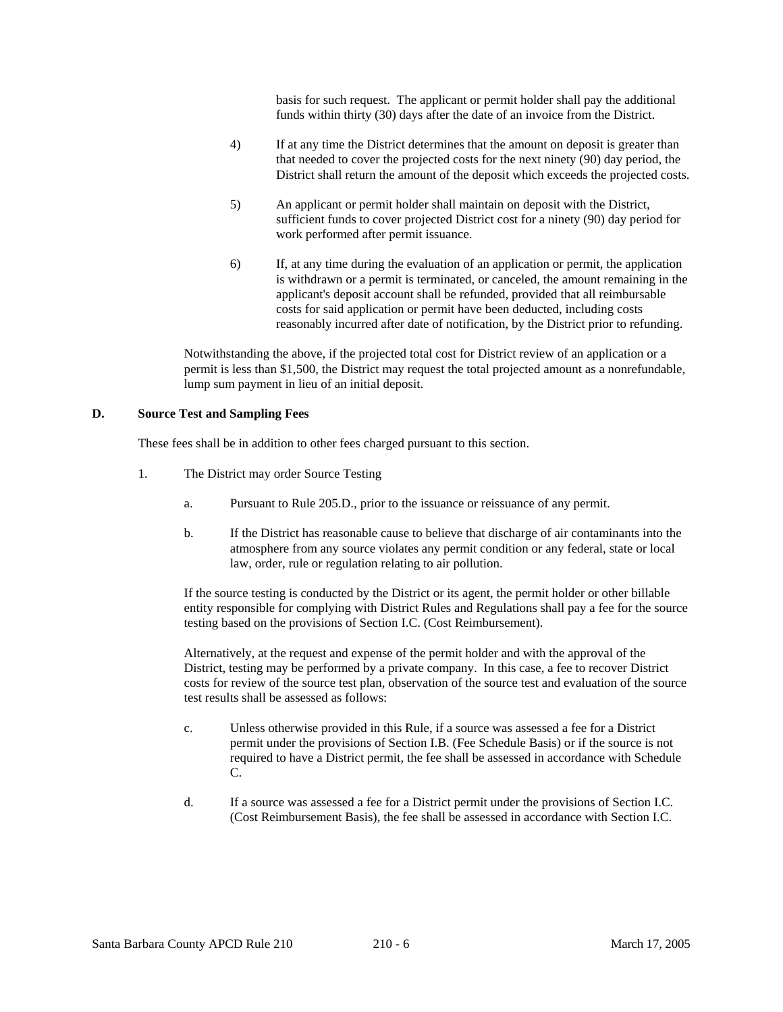basis for such request. The applicant or permit holder shall pay the additional funds within thirty (30) days after the date of an invoice from the District.

- 4) If at any time the District determines that the amount on deposit is greater than that needed to cover the projected costs for the next ninety (90) day period, the District shall return the amount of the deposit which exceeds the projected costs.
- 5) An applicant or permit holder shall maintain on deposit with the District, sufficient funds to cover projected District cost for a ninety (90) day period for work performed after permit issuance.
- 6) If, at any time during the evaluation of an application or permit, the application is withdrawn or a permit is terminated, or canceled, the amount remaining in the applicant's deposit account shall be refunded, provided that all reimbursable costs for said application or permit have been deducted, including costs reasonably incurred after date of notification, by the District prior to refunding.

 Notwithstanding the above, if the projected total cost for District review of an application or a permit is less than \$1,500, the District may request the total projected amount as a nonrefundable, lump sum payment in lieu of an initial deposit.

#### **D. Source Test and Sampling Fees**

These fees shall be in addition to other fees charged pursuant to this section.

- 1. The District may order Source Testing
	- a. Pursuant to Rule 205.D., prior to the issuance or reissuance of any permit.
	- b. If the District has reasonable cause to believe that discharge of air contaminants into the atmosphere from any source violates any permit condition or any federal, state or local law, order, rule or regulation relating to air pollution.

 If the source testing is conducted by the District or its agent, the permit holder or other billable entity responsible for complying with District Rules and Regulations shall pay a fee for the source testing based on the provisions of Section I.C. (Cost Reimbursement).

 Alternatively, at the request and expense of the permit holder and with the approval of the District, testing may be performed by a private company. In this case, a fee to recover District costs for review of the source test plan, observation of the source test and evaluation of the source test results shall be assessed as follows:

- c. Unless otherwise provided in this Rule, if a source was assessed a fee for a District permit under the provisions of Section I.B. (Fee Schedule Basis) or if the source is not required to have a District permit, the fee shall be assessed in accordance with Schedule C.
- d. If a source was assessed a fee for a District permit under the provisions of Section I.C. (Cost Reimbursement Basis), the fee shall be assessed in accordance with Section I.C.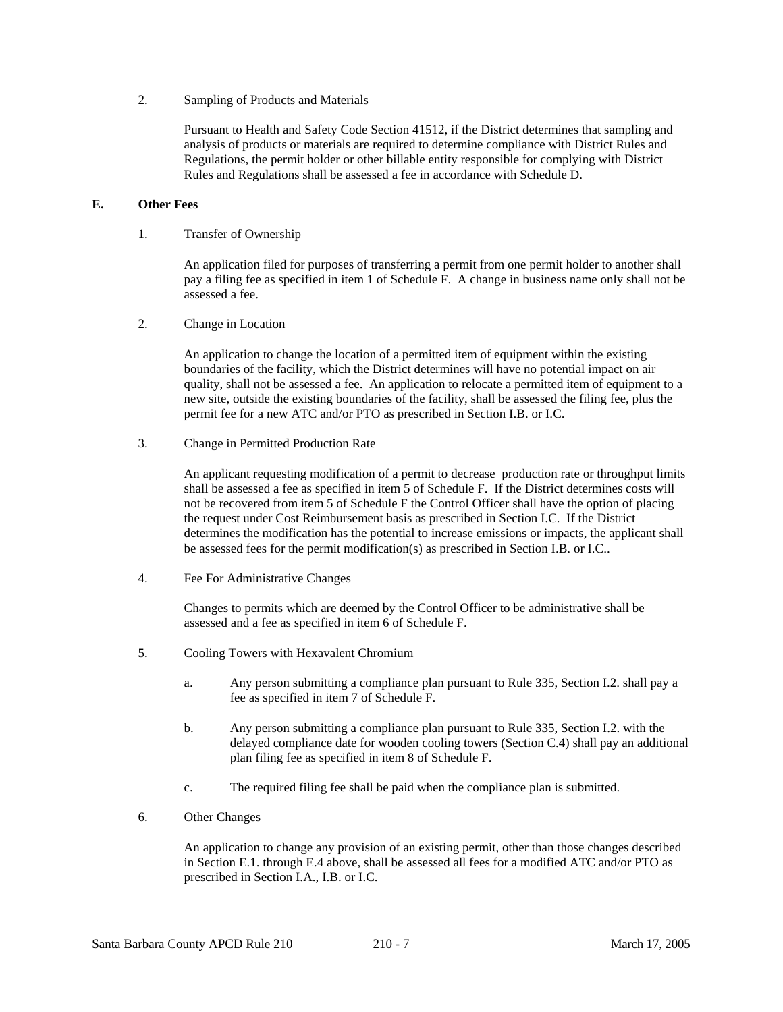2. Sampling of Products and Materials

 Pursuant to Health and Safety Code Section 41512, if the District determines that sampling and analysis of products or materials are required to determine compliance with District Rules and Regulations, the permit holder or other billable entity responsible for complying with District Rules and Regulations shall be assessed a fee in accordance with Schedule D.

# **E. Other Fees**

1. Transfer of Ownership

 An application filed for purposes of transferring a permit from one permit holder to another shall pay a filing fee as specified in item 1 of Schedule F. A change in business name only shall not be assessed a fee.

2. Change in Location

 An application to change the location of a permitted item of equipment within the existing boundaries of the facility, which the District determines will have no potential impact on air quality, shall not be assessed a fee. An application to relocate a permitted item of equipment to a new site, outside the existing boundaries of the facility, shall be assessed the filing fee, plus the permit fee for a new ATC and/or PTO as prescribed in Section I.B. or I.C.

3. Change in Permitted Production Rate

 An applicant requesting modification of a permit to decrease production rate or throughput limits shall be assessed a fee as specified in item 5 of Schedule F. If the District determines costs will not be recovered from item 5 of Schedule F the Control Officer shall have the option of placing the request under Cost Reimbursement basis as prescribed in Section I.C. If the District determines the modification has the potential to increase emissions or impacts, the applicant shall be assessed fees for the permit modification(s) as prescribed in Section I.B. or I.C..

4. Fee For Administrative Changes

 Changes to permits which are deemed by the Control Officer to be administrative shall be assessed and a fee as specified in item 6 of Schedule F.

- 5. Cooling Towers with Hexavalent Chromium
	- a. Any person submitting a compliance plan pursuant to Rule 335, Section I.2. shall pay a fee as specified in item 7 of Schedule F.
	- b. Any person submitting a compliance plan pursuant to Rule 335, Section I.2. with the delayed compliance date for wooden cooling towers (Section C.4) shall pay an additional plan filing fee as specified in item 8 of Schedule F.
	- c. The required filing fee shall be paid when the compliance plan is submitted.
- 6. Other Changes

 An application to change any provision of an existing permit, other than those changes described in Section E.1. through E.4 above, shall be assessed all fees for a modified ATC and/or PTO as prescribed in Section I.A., I.B. or I.C.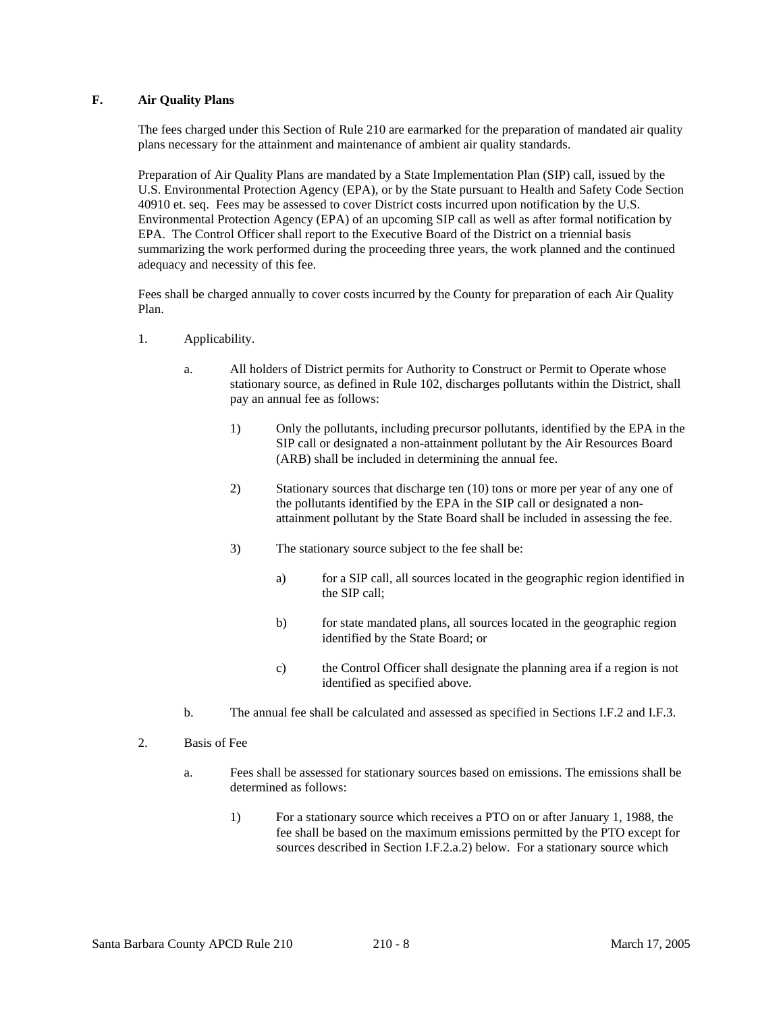# **F. Air Quality Plans**

 The fees charged under this Section of Rule 210 are earmarked for the preparation of mandated air quality plans necessary for the attainment and maintenance of ambient air quality standards.

 Preparation of Air Quality Plans are mandated by a State Implementation Plan (SIP) call, issued by the U.S. Environmental Protection Agency (EPA), or by the State pursuant to Health and Safety Code Section 40910 et. seq. Fees may be assessed to cover District costs incurred upon notification by the U.S. Environmental Protection Agency (EPA) of an upcoming SIP call as well as after formal notification by EPA. The Control Officer shall report to the Executive Board of the District on a triennial basis summarizing the work performed during the proceeding three years, the work planned and the continued adequacy and necessity of this fee.

 Fees shall be charged annually to cover costs incurred by the County for preparation of each Air Quality Plan.

- 1. Applicability.
	- a. All holders of District permits for Authority to Construct or Permit to Operate whose stationary source, as defined in Rule 102, discharges pollutants within the District, shall pay an annual fee as follows:
		- 1) Only the pollutants, including precursor pollutants, identified by the EPA in the SIP call or designated a non-attainment pollutant by the Air Resources Board (ARB) shall be included in determining the annual fee.
		- 2) Stationary sources that discharge ten (10) tons or more per year of any one of the pollutants identified by the EPA in the SIP call or designated a nonattainment pollutant by the State Board shall be included in assessing the fee.
		- 3) The stationary source subject to the fee shall be:
			- a) for a SIP call, all sources located in the geographic region identified in the SIP call;
			- b) for state mandated plans, all sources located in the geographic region identified by the State Board; or
			- c) the Control Officer shall designate the planning area if a region is not identified as specified above.
	- b. The annual fee shall be calculated and assessed as specified in Sections I.F.2 and I.F.3.
- 2. Basis of Fee
	- a. Fees shall be assessed for stationary sources based on emissions. The emissions shall be determined as follows:
		- 1) For a stationary source which receives a PTO on or after January 1, 1988, the fee shall be based on the maximum emissions permitted by the PTO except for sources described in Section I.F.2.a.2) below. For a stationary source which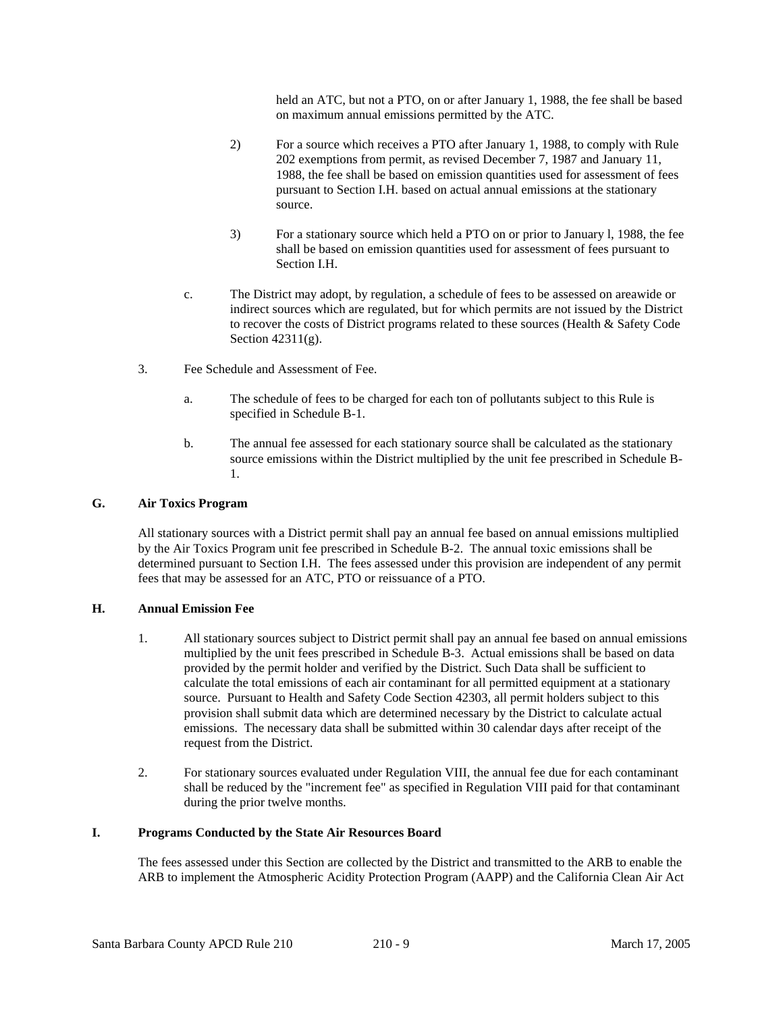held an ATC, but not a PTO, on or after January 1, 1988, the fee shall be based on maximum annual emissions permitted by the ATC.

- 2) For a source which receives a PTO after January 1, 1988, to comply with Rule 202 exemptions from permit, as revised December 7, 1987 and January 11, 1988, the fee shall be based on emission quantities used for assessment of fees pursuant to Section I.H. based on actual annual emissions at the stationary source.
- 3) For a stationary source which held a PTO on or prior to January l, 1988, the fee shall be based on emission quantities used for assessment of fees pursuant to Section I.H.
- c. The District may adopt, by regulation, a schedule of fees to be assessed on areawide or indirect sources which are regulated, but for which permits are not issued by the District to recover the costs of District programs related to these sources (Health & Safety Code Section 42311(g).
- 3. Fee Schedule and Assessment of Fee.
	- a. The schedule of fees to be charged for each ton of pollutants subject to this Rule is specified in Schedule B-1.
	- b. The annual fee assessed for each stationary source shall be calculated as the stationary source emissions within the District multiplied by the unit fee prescribed in Schedule B-1.

# **G. Air Toxics Program**

 All stationary sources with a District permit shall pay an annual fee based on annual emissions multiplied by the Air Toxics Program unit fee prescribed in Schedule B-2. The annual toxic emissions shall be determined pursuant to Section I.H. The fees assessed under this provision are independent of any permit fees that may be assessed for an ATC, PTO or reissuance of a PTO.

# **H. Annual Emission Fee**

- 1. All stationary sources subject to District permit shall pay an annual fee based on annual emissions multiplied by the unit fees prescribed in Schedule B-3. Actual emissions shall be based on data provided by the permit holder and verified by the District. Such Data shall be sufficient to calculate the total emissions of each air contaminant for all permitted equipment at a stationary source. Pursuant to Health and Safety Code Section 42303, all permit holders subject to this provision shall submit data which are determined necessary by the District to calculate actual emissions. The necessary data shall be submitted within 30 calendar days after receipt of the request from the District.
- 2. For stationary sources evaluated under Regulation VIII, the annual fee due for each contaminant shall be reduced by the "increment fee" as specified in Regulation VIII paid for that contaminant during the prior twelve months.

# **I. Programs Conducted by the State Air Resources Board**

 The fees assessed under this Section are collected by the District and transmitted to the ARB to enable the ARB to implement the Atmospheric Acidity Protection Program (AAPP) and the California Clean Air Act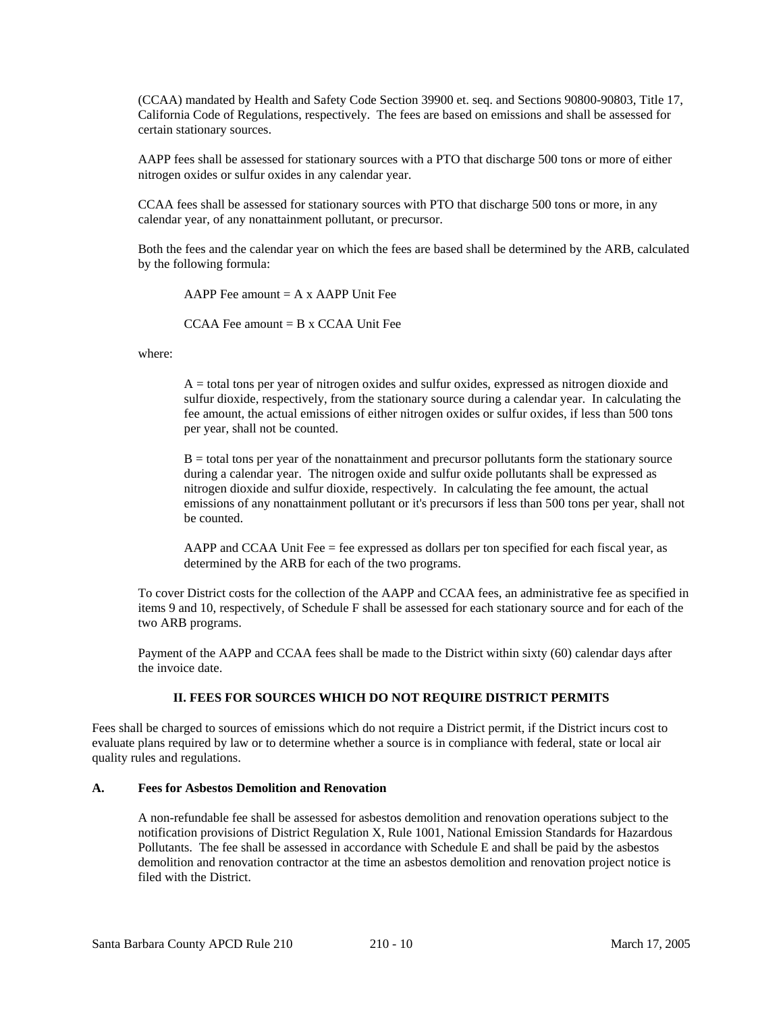(CCAA) mandated by Health and Safety Code Section 39900 et. seq. and Sections 90800-90803, Title 17, California Code of Regulations, respectively. The fees are based on emissions and shall be assessed for certain stationary sources.

 AAPP fees shall be assessed for stationary sources with a PTO that discharge 500 tons or more of either nitrogen oxides or sulfur oxides in any calendar year.

 CCAA fees shall be assessed for stationary sources with PTO that discharge 500 tons or more, in any calendar year, of any nonattainment pollutant, or precursor.

 Both the fees and the calendar year on which the fees are based shall be determined by the ARB, calculated by the following formula:

AAPP Fee amount  $= A \times$  AAPP Unit Fee

CCAA Fee amount  $=$  B x CCAA Unit Fee

where:

 A = total tons per year of nitrogen oxides and sulfur oxides, expressed as nitrogen dioxide and sulfur dioxide, respectively, from the stationary source during a calendar year. In calculating the fee amount, the actual emissions of either nitrogen oxides or sulfur oxides, if less than 500 tons per year, shall not be counted.

 $B =$  total tons per year of the nonattainment and precursor pollutants form the stationary source during a calendar year. The nitrogen oxide and sulfur oxide pollutants shall be expressed as nitrogen dioxide and sulfur dioxide, respectively. In calculating the fee amount, the actual emissions of any nonattainment pollutant or it's precursors if less than 500 tons per year, shall not be counted.

 AAPP and CCAA Unit Fee = fee expressed as dollars per ton specified for each fiscal year, as determined by the ARB for each of the two programs.

 To cover District costs for the collection of the AAPP and CCAA fees, an administrative fee as specified in items 9 and 10, respectively, of Schedule F shall be assessed for each stationary source and for each of the two ARB programs.

 Payment of the AAPP and CCAA fees shall be made to the District within sixty (60) calendar days after the invoice date.

# **II. FEES FOR SOURCES WHICH DO NOT REQUIRE DISTRICT PERMITS**

Fees shall be charged to sources of emissions which do not require a District permit, if the District incurs cost to evaluate plans required by law or to determine whether a source is in compliance with federal, state or local air quality rules and regulations.

# **A. Fees for Asbestos Demolition and Renovation**

 A non-refundable fee shall be assessed for asbestos demolition and renovation operations subject to the notification provisions of District Regulation X, Rule 1001, National Emission Standards for Hazardous Pollutants. The fee shall be assessed in accordance with Schedule E and shall be paid by the asbestos demolition and renovation contractor at the time an asbestos demolition and renovation project notice is filed with the District.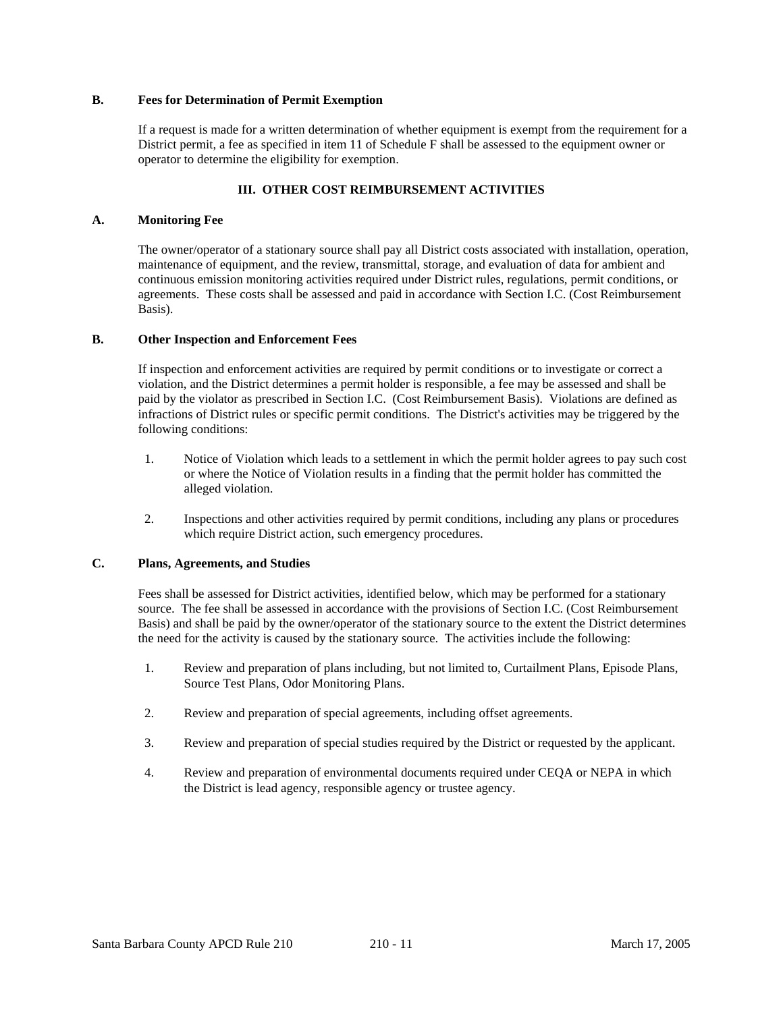#### **B. Fees for Determination of Permit Exemption**

 If a request is made for a written determination of whether equipment is exempt from the requirement for a District permit, a fee as specified in item 11 of Schedule F shall be assessed to the equipment owner or operator to determine the eligibility for exemption.

# **III. OTHER COST REIMBURSEMENT ACTIVITIES**

## **A. Monitoring Fee**

 The owner/operator of a stationary source shall pay all District costs associated with installation, operation, maintenance of equipment, and the review, transmittal, storage, and evaluation of data for ambient and continuous emission monitoring activities required under District rules, regulations, permit conditions, or agreements. These costs shall be assessed and paid in accordance with Section I.C. (Cost Reimbursement Basis).

#### **B. Other Inspection and Enforcement Fees**

 If inspection and enforcement activities are required by permit conditions or to investigate or correct a violation, and the District determines a permit holder is responsible, a fee may be assessed and shall be paid by the violator as prescribed in Section I.C. (Cost Reimbursement Basis). Violations are defined as infractions of District rules or specific permit conditions. The District's activities may be triggered by the following conditions:

- 1. Notice of Violation which leads to a settlement in which the permit holder agrees to pay such cost or where the Notice of Violation results in a finding that the permit holder has committed the alleged violation.
- 2. Inspections and other activities required by permit conditions, including any plans or procedures which require District action, such emergency procedures.

# **C. Plans, Agreements, and Studies**

 Fees shall be assessed for District activities, identified below, which may be performed for a stationary source. The fee shall be assessed in accordance with the provisions of Section I.C. (Cost Reimbursement Basis) and shall be paid by the owner/operator of the stationary source to the extent the District determines the need for the activity is caused by the stationary source. The activities include the following:

- 1. Review and preparation of plans including, but not limited to, Curtailment Plans, Episode Plans, Source Test Plans, Odor Monitoring Plans.
- 2. Review and preparation of special agreements, including offset agreements.
- 3. Review and preparation of special studies required by the District or requested by the applicant.
- 4. Review and preparation of environmental documents required under CEQA or NEPA in which the District is lead agency, responsible agency or trustee agency.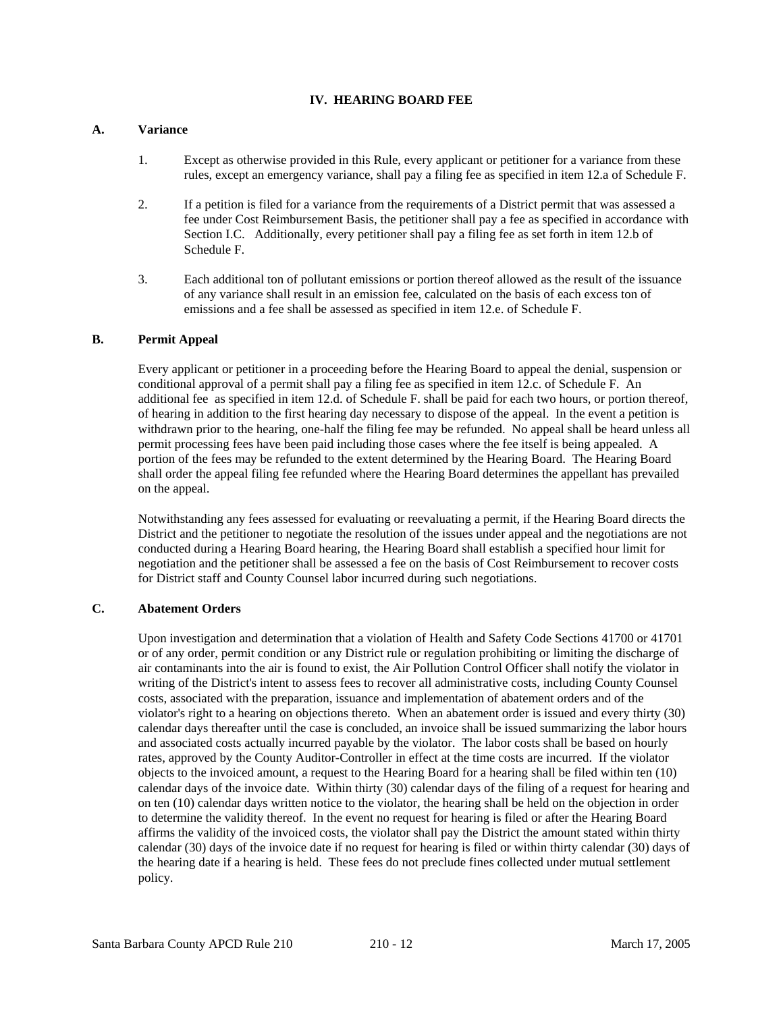#### **IV. HEARING BOARD FEE**

#### **A. Variance**

- 1. Except as otherwise provided in this Rule, every applicant or petitioner for a variance from these rules, except an emergency variance, shall pay a filing fee as specified in item 12.a of Schedule F.
- 2. If a petition is filed for a variance from the requirements of a District permit that was assessed a fee under Cost Reimbursement Basis, the petitioner shall pay a fee as specified in accordance with Section I.C. Additionally, every petitioner shall pay a filing fee as set forth in item 12.b of Schedule F.
- 3. Each additional ton of pollutant emissions or portion thereof allowed as the result of the issuance of any variance shall result in an emission fee, calculated on the basis of each excess ton of emissions and a fee shall be assessed as specified in item 12.e. of Schedule F.

#### **B. Permit Appeal**

 Every applicant or petitioner in a proceeding before the Hearing Board to appeal the denial, suspension or conditional approval of a permit shall pay a filing fee as specified in item 12.c. of Schedule F. An additional fee as specified in item 12.d. of Schedule F. shall be paid for each two hours, or portion thereof, of hearing in addition to the first hearing day necessary to dispose of the appeal. In the event a petition is withdrawn prior to the hearing, one-half the filing fee may be refunded. No appeal shall be heard unless all permit processing fees have been paid including those cases where the fee itself is being appealed. A portion of the fees may be refunded to the extent determined by the Hearing Board. The Hearing Board shall order the appeal filing fee refunded where the Hearing Board determines the appellant has prevailed on the appeal.

 Notwithstanding any fees assessed for evaluating or reevaluating a permit, if the Hearing Board directs the District and the petitioner to negotiate the resolution of the issues under appeal and the negotiations are not conducted during a Hearing Board hearing, the Hearing Board shall establish a specified hour limit for negotiation and the petitioner shall be assessed a fee on the basis of Cost Reimbursement to recover costs for District staff and County Counsel labor incurred during such negotiations.

# **C. Abatement Orders**

 Upon investigation and determination that a violation of Health and Safety Code Sections 41700 or 41701 or of any order, permit condition or any District rule or regulation prohibiting or limiting the discharge of air contaminants into the air is found to exist, the Air Pollution Control Officer shall notify the violator in writing of the District's intent to assess fees to recover all administrative costs, including County Counsel costs, associated with the preparation, issuance and implementation of abatement orders and of the violator's right to a hearing on objections thereto. When an abatement order is issued and every thirty (30) calendar days thereafter until the case is concluded, an invoice shall be issued summarizing the labor hours and associated costs actually incurred payable by the violator. The labor costs shall be based on hourly rates, approved by the County Auditor-Controller in effect at the time costs are incurred. If the violator objects to the invoiced amount, a request to the Hearing Board for a hearing shall be filed within ten (10) calendar days of the invoice date. Within thirty (30) calendar days of the filing of a request for hearing and on ten (10) calendar days written notice to the violator, the hearing shall be held on the objection in order to determine the validity thereof. In the event no request for hearing is filed or after the Hearing Board affirms the validity of the invoiced costs, the violator shall pay the District the amount stated within thirty calendar (30) days of the invoice date if no request for hearing is filed or within thirty calendar (30) days of the hearing date if a hearing is held. These fees do not preclude fines collected under mutual settlement policy.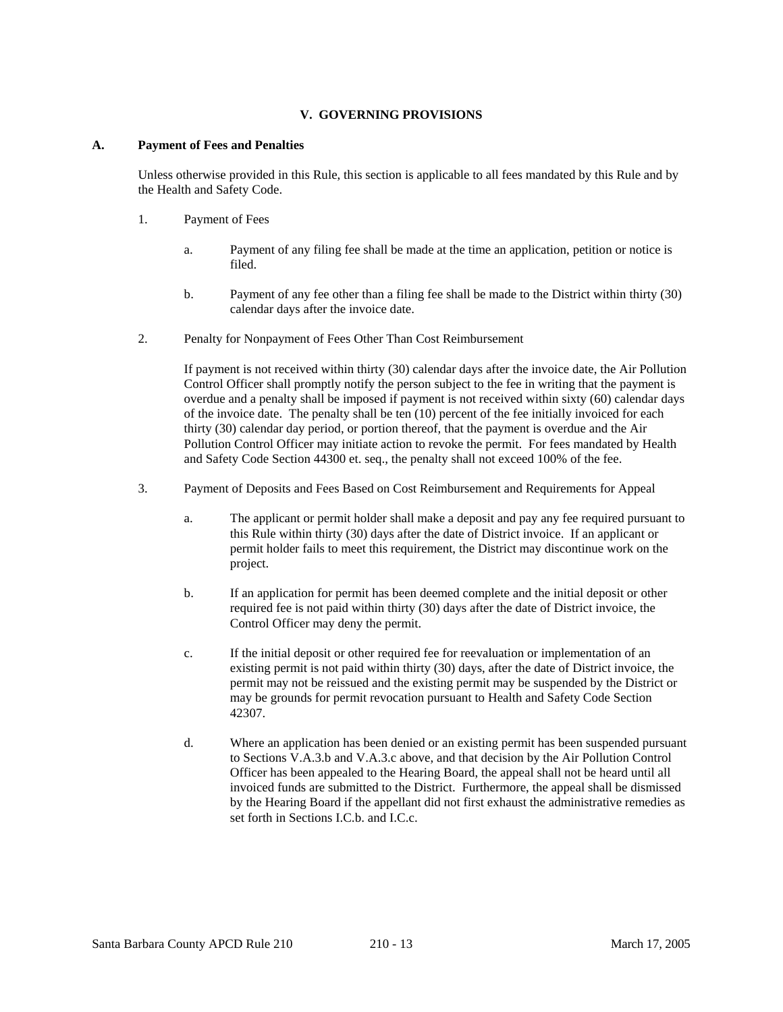# **V. GOVERNING PROVISIONS**

#### **A. Payment of Fees and Penalties**

 Unless otherwise provided in this Rule, this section is applicable to all fees mandated by this Rule and by the Health and Safety Code.

- 1. Payment of Fees
	- a. Payment of any filing fee shall be made at the time an application, petition or notice is filed.
	- b. Payment of any fee other than a filing fee shall be made to the District within thirty (30) calendar days after the invoice date.
- 2. Penalty for Nonpayment of Fees Other Than Cost Reimbursement

 If payment is not received within thirty (30) calendar days after the invoice date, the Air Pollution Control Officer shall promptly notify the person subject to the fee in writing that the payment is overdue and a penalty shall be imposed if payment is not received within sixty (60) calendar days of the invoice date. The penalty shall be ten (10) percent of the fee initially invoiced for each thirty (30) calendar day period, or portion thereof, that the payment is overdue and the Air Pollution Control Officer may initiate action to revoke the permit. For fees mandated by Health and Safety Code Section 44300 et. seq., the penalty shall not exceed 100% of the fee.

- 3. Payment of Deposits and Fees Based on Cost Reimbursement and Requirements for Appeal
	- a. The applicant or permit holder shall make a deposit and pay any fee required pursuant to this Rule within thirty (30) days after the date of District invoice. If an applicant or permit holder fails to meet this requirement, the District may discontinue work on the project.
	- b. If an application for permit has been deemed complete and the initial deposit or other required fee is not paid within thirty (30) days after the date of District invoice, the Control Officer may deny the permit.
	- c. If the initial deposit or other required fee for reevaluation or implementation of an existing permit is not paid within thirty (30) days, after the date of District invoice, the permit may not be reissued and the existing permit may be suspended by the District or may be grounds for permit revocation pursuant to Health and Safety Code Section 42307.
	- d. Where an application has been denied or an existing permit has been suspended pursuant to Sections V.A.3.b and V.A.3.c above, and that decision by the Air Pollution Control Officer has been appealed to the Hearing Board, the appeal shall not be heard until all invoiced funds are submitted to the District. Furthermore, the appeal shall be dismissed by the Hearing Board if the appellant did not first exhaust the administrative remedies as set forth in Sections I.C.b. and I.C.c.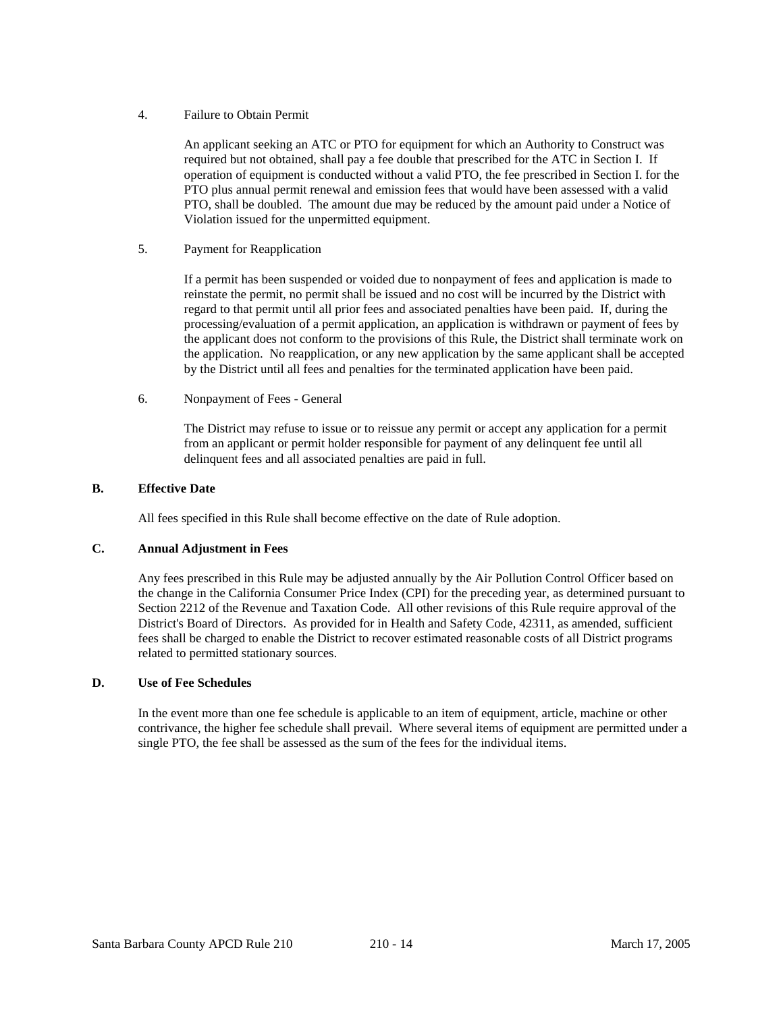#### 4. Failure to Obtain Permit

 An applicant seeking an ATC or PTO for equipment for which an Authority to Construct was required but not obtained, shall pay a fee double that prescribed for the ATC in Section I. If operation of equipment is conducted without a valid PTO, the fee prescribed in Section I. for the PTO plus annual permit renewal and emission fees that would have been assessed with a valid PTO, shall be doubled. The amount due may be reduced by the amount paid under a Notice of Violation issued for the unpermitted equipment.

# 5. Payment for Reapplication

 If a permit has been suspended or voided due to nonpayment of fees and application is made to reinstate the permit, no permit shall be issued and no cost will be incurred by the District with regard to that permit until all prior fees and associated penalties have been paid. If, during the processing/evaluation of a permit application, an application is withdrawn or payment of fees by the applicant does not conform to the provisions of this Rule, the District shall terminate work on the application. No reapplication, or any new application by the same applicant shall be accepted by the District until all fees and penalties for the terminated application have been paid.

# 6. Nonpayment of Fees - General

 The District may refuse to issue or to reissue any permit or accept any application for a permit from an applicant or permit holder responsible for payment of any delinquent fee until all delinquent fees and all associated penalties are paid in full.

# **B. Effective Date**

All fees specified in this Rule shall become effective on the date of Rule adoption.

# **C. Annual Adjustment in Fees**

 Any fees prescribed in this Rule may be adjusted annually by the Air Pollution Control Officer based on the change in the California Consumer Price Index (CPI) for the preceding year, as determined pursuant to Section 2212 of the Revenue and Taxation Code. All other revisions of this Rule require approval of the District's Board of Directors. As provided for in Health and Safety Code, 42311, as amended, sufficient fees shall be charged to enable the District to recover estimated reasonable costs of all District programs related to permitted stationary sources.

# **D. Use of Fee Schedules**

 In the event more than one fee schedule is applicable to an item of equipment, article, machine or other contrivance, the higher fee schedule shall prevail. Where several items of equipment are permitted under a single PTO, the fee shall be assessed as the sum of the fees for the individual items.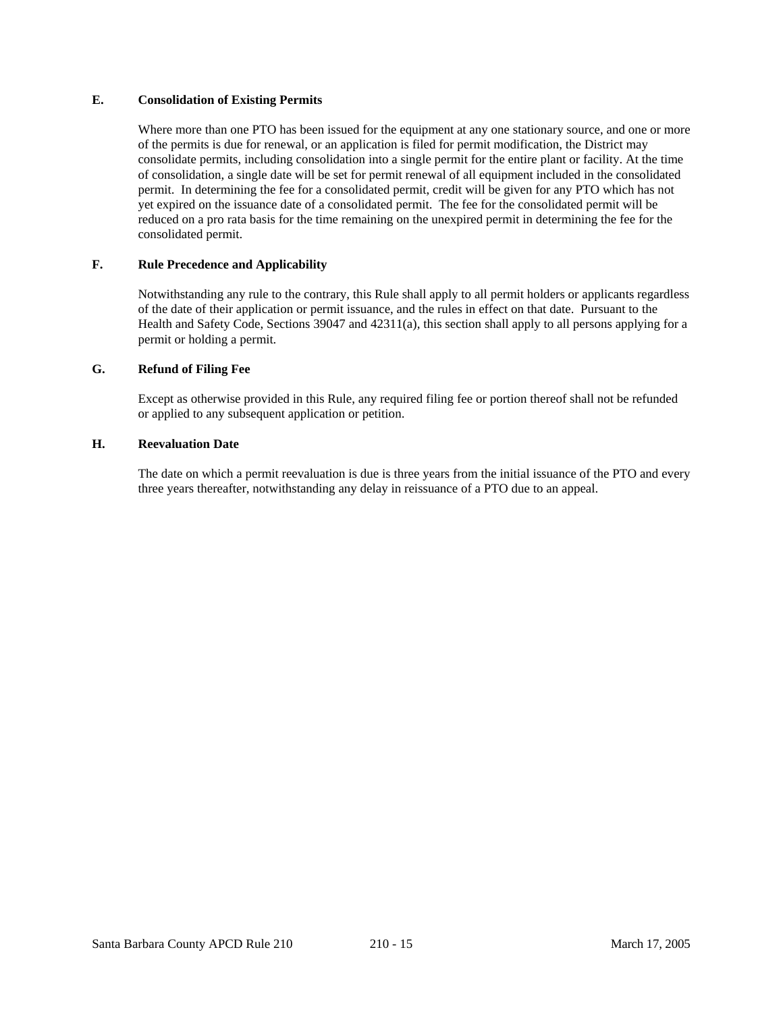# **E. Consolidation of Existing Permits**

 Where more than one PTO has been issued for the equipment at any one stationary source, and one or more of the permits is due for renewal, or an application is filed for permit modification, the District may consolidate permits, including consolidation into a single permit for the entire plant or facility. At the time of consolidation, a single date will be set for permit renewal of all equipment included in the consolidated permit. In determining the fee for a consolidated permit, credit will be given for any PTO which has not yet expired on the issuance date of a consolidated permit. The fee for the consolidated permit will be reduced on a pro rata basis for the time remaining on the unexpired permit in determining the fee for the consolidated permit.

# **F. Rule Precedence and Applicability**

 Notwithstanding any rule to the contrary, this Rule shall apply to all permit holders or applicants regardless of the date of their application or permit issuance, and the rules in effect on that date. Pursuant to the Health and Safety Code, Sections 39047 and 42311(a), this section shall apply to all persons applying for a permit or holding a permit.

# **G. Refund of Filing Fee**

 Except as otherwise provided in this Rule, any required filing fee or portion thereof shall not be refunded or applied to any subsequent application or petition.

# **H. Reevaluation Date**

 The date on which a permit reevaluation is due is three years from the initial issuance of the PTO and every three years thereafter, notwithstanding any delay in reissuance of a PTO due to an appeal.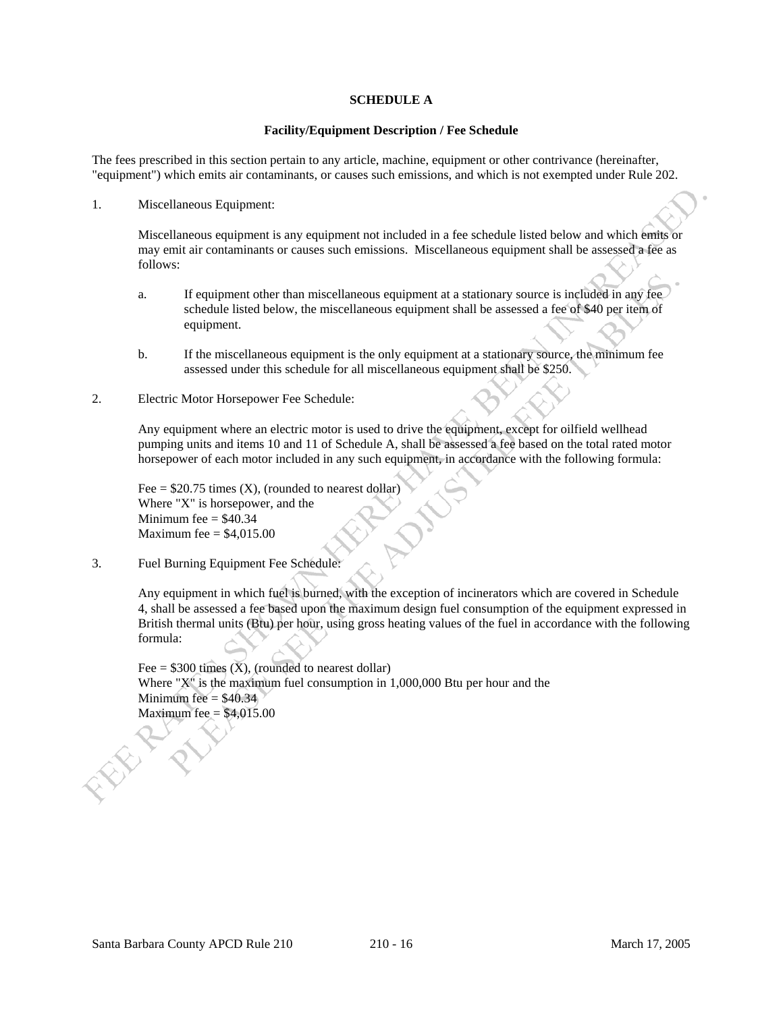#### **SCHEDULE A**

#### **Facility/Equipment Description / Fee Schedule**

The fees prescribed in this section pertain to any article, machine, equipment or other contrivance (hereinafter, "equipment") which emits air contaminants, or causes such emissions, and which is not exempted under Rule 202.

1. Miscellaneous Equipment:

 Miscellaneous equipment is any equipment not included in a fee schedule listed below and which emits or may emit air contaminants or causes such emissions. Miscellaneous equipment shall be assessed a fee as follows:

- a. If equipment other than miscellaneous equipment at a stationary source is included in any fee schedule listed below, the miscellaneous equipment shall be assessed a fee of \$40 per item of equipment.
- b. If the miscellaneous equipment is the only equipment at a stationary source, the minimum fee assessed under this schedule for all miscellaneous equipment shall be \$250.
- 2. Electric Motor Horsepower Fee Schedule:

 Any equipment where an electric motor is used to drive the equipment, except for oilfield wellhead pumping units and items 10 and 11 of Schedule A, shall be assessed a fee based on the total rated motor horsepower of each motor included in any such equipment, in accordance with the following formula:

Fee =  $$20.75$  times (X), (rounded to nearest dollar) Where "X" is horsepower, and the Minimum fee  $=$  \$40.34 Maximum fee  $=$  \$4,015.00

3. Fuel Burning Equipment Fee Schedule:

 Any equipment in which fuel is burned, with the exception of incinerators which are covered in Schedule 4, shall be assessed a fee based upon the maximum design fuel consumption of the equipment expressed in British thermal units (Btu) per hour, using gross heating values of the fuel in accordance with the following formula:

Fee =  $$300$  times (X), (rounded to nearest dollar) Where "X" is the maximum fuel consumption in 1,000,000 Btu per hour and the Minimum fee  $=$  \$40.34 Maximum fee  $=$  \$4,015.00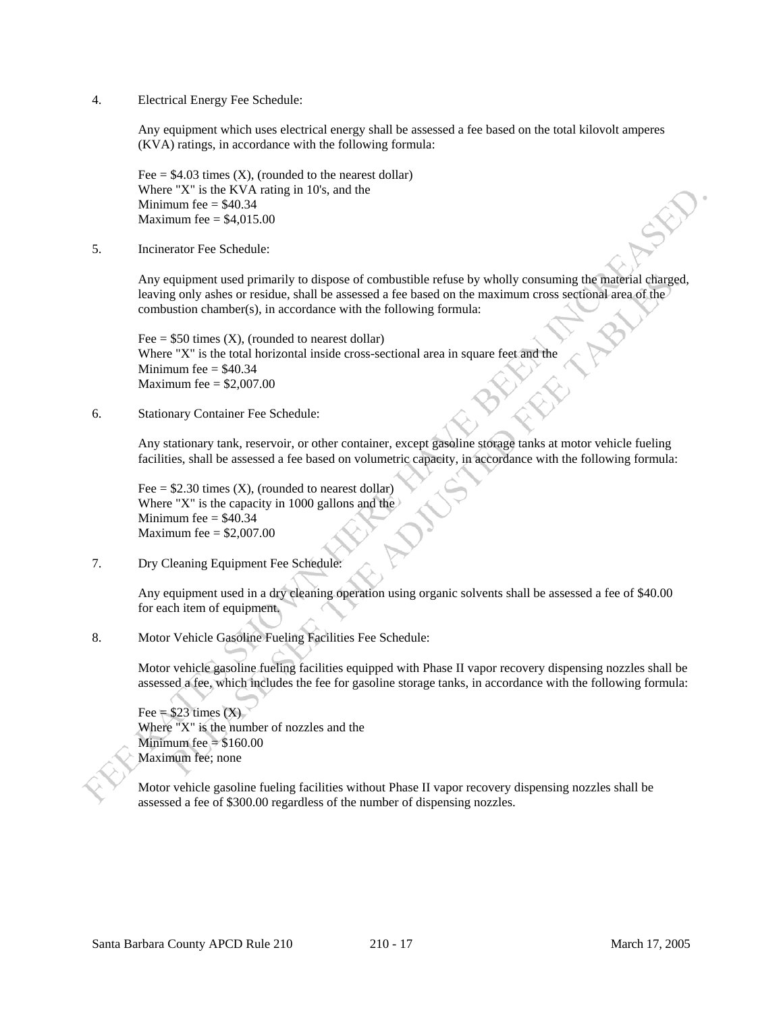4. Electrical Energy Fee Schedule:

 Any equipment which uses electrical energy shall be assessed a fee based on the total kilovolt amperes (KVA) ratings, in accordance with the following formula:

Fee  $= $4.03$  times (X), (rounded to the nearest dollar) Where "X" is the KVA rating in 10's, and the Minimum fee  $=$  \$40.34 Maximum fee  $=$  \$4,015.00

5. Incinerator Fee Schedule:

 Any equipment used primarily to dispose of combustible refuse by wholly consuming the material charged, leaving only ashes or residue, shall be assessed a fee based on the maximum cross sectional area of the combustion chamber(s), in accordance with the following formula:

Fee  $= $50$  times (X), (rounded to nearest dollar) Where "X" is the total horizontal inside cross-sectional area in square feet and the Minimum fee  $=$  \$40.34 Maximum fee  $=$  \$2,007.00

6. Stationary Container Fee Schedule:

 Any stationary tank, reservoir, or other container, except gasoline storage tanks at motor vehicle fueling facilities, shall be assessed a fee based on volumetric capacity, in accordance with the following formula:

Fee  $= $2.30$  times (X), (rounded to nearest dollar) Where "X" is the capacity in 1000 gallons and the Minimum fee  $=$  \$40.34 Maximum fee  $=$  \$2,007.00

7. Dry Cleaning Equipment Fee Schedule:

 Any equipment used in a dry cleaning operation using organic solvents shall be assessed a fee of \$40.00 for each item of equipment.

8. Motor Vehicle Gasoline Fueling Facilities Fee Schedule:

 Motor vehicle gasoline fueling facilities equipped with Phase II vapor recovery dispensing nozzles shall be assessed a fee, which includes the fee for gasoline storage tanks, in accordance with the following formula:

Fee =  $$23 \text{ times } (X)$  Where "X" is the number of nozzles and the Minimum fee  $= $160.00$ Maximum fee; none

 Motor vehicle gasoline fueling facilities without Phase II vapor recovery dispensing nozzles shall be assessed a fee of \$300.00 regardless of the number of dispensing nozzles.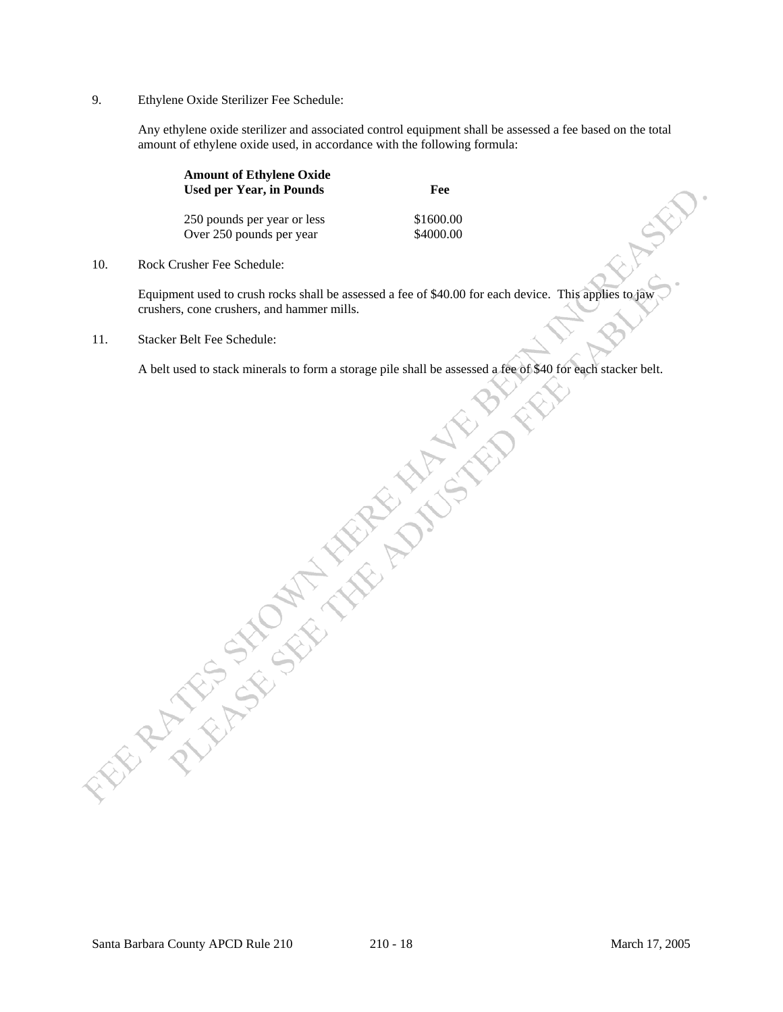9. Ethylene Oxide Sterilizer Fee Schedule:

 Any ethylene oxide sterilizer and associated control equipment shall be assessed a fee based on the total amount of ethylene oxide used, in accordance with the following formula:

| <b>Amount of Ethylene Oxide</b><br><b>Used per Year, in Pounds</b> |                             | Fee       |  |
|--------------------------------------------------------------------|-----------------------------|-----------|--|
|                                                                    | 250 pounds per year or less | \$1600.00 |  |
|                                                                    | Over 250 pounds per year    | \$4000.00 |  |

10. Rock Crusher Fee Schedule:

 Equipment used to crush rocks shall be assessed a fee of \$40.00 for each device. This applies to jaw crushers, cone crushers, and hammer mills.

11. Stacker Belt Fee Schedule:

A belt used to stack minerals to form a storage pile shall be assessed a fee of \$40 for each stacker belt.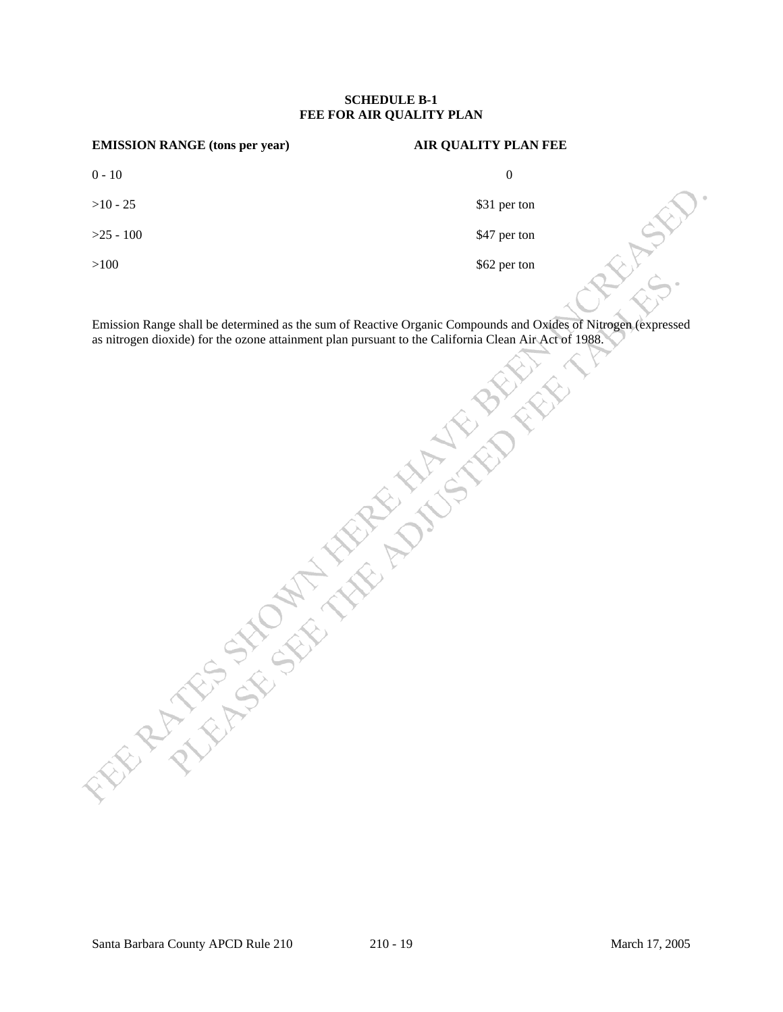#### **SCHEDULE B-1 FEE FOR AIR QUALITY PLAN**

| <b>EMISSION RANGE (tons per year)</b> | <b>AIR QUALITY PLAN FEE</b> |  |
|---------------------------------------|-----------------------------|--|
| $0 - 10$                              | $\overline{0}$              |  |
| $>10 - 25$                            | \$31 per ton                |  |
| $>25 - 100$                           | \$47 per ton                |  |
| >100                                  | \$62 per ton                |  |
|                                       |                             |  |

Emission Range shall be determined as the sum of Reactive Organic Compounds and Oxides of Nitrogen (expressed as nitrogen dioxide) for the ozone attainment plan pursuant to the California Clean Air Act of 1988.

Santa Barbara County APCD Rule 210 210 - 19 2005 2005 2006 2008 March 17, 2005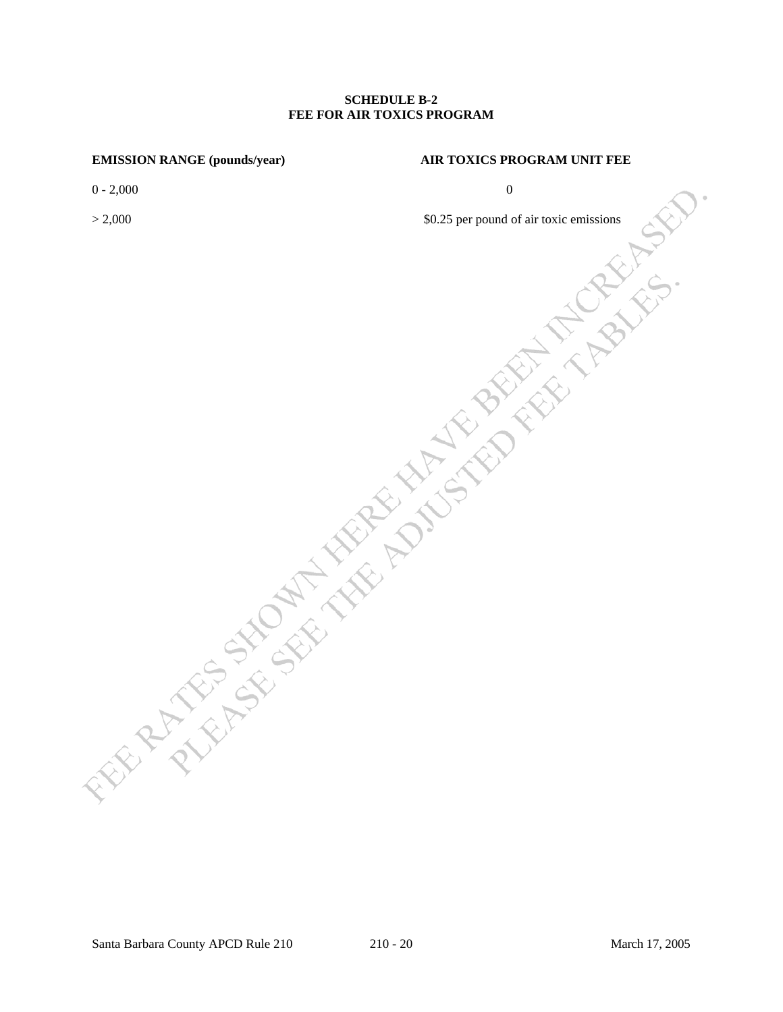## **SCHEDULE B-2 FEE FOR AIR TOXICS PROGRAM**

#### **EMISSION RANGE (pounds/year) AIR TOXICS PROGRAM UNIT FEE**

 $0 - 2{,}000$  0

# $> 2,000$   $$0.25$  per pound of air toxic emissions

Santa Barbara County APCD Rule 210 210 - 20 March 17, 2005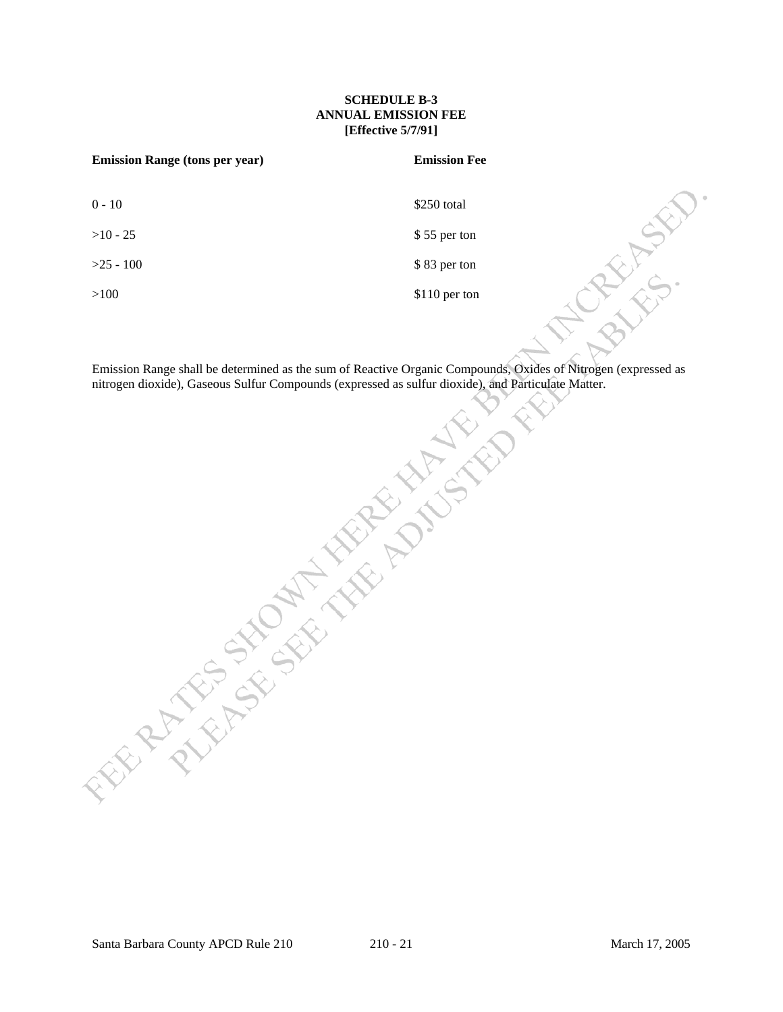# **SCHEDULE B-3 ANNUAL EMISSION FEE [Effective 5/7/91]**

| <b>Emission Range (tons per year)</b> | <b>Emission Fee</b> |
|---------------------------------------|---------------------|
| $0 - 10$                              | \$250 total         |
| $>10 - 25$                            | \$55 per ton        |
| $>25 - 100$                           | \$83 per ton        |
| >100                                  | \$110 per ton       |

**MONEY CAN SEE THE ROAD STORES IN A STREET OF THE RANGE IN A STREET OF THE RANGE OF THE RANGE OF THE RANGE OF THE RANGE OF THE RANGE OF THE RANGE OF THE RANGE OF THE RANGE OF THE RANGE OF THE RANGE OF THE RANGE OF THE RANG** Emission Range shall be determined as the sum of Reactive Organic Compounds, Oxides of Nitrogen (expressed as nitrogen dioxide), Gaseous Sulfur Compounds (expressed as sulfur dioxide), and Particulate Matter.

**REFERENCE**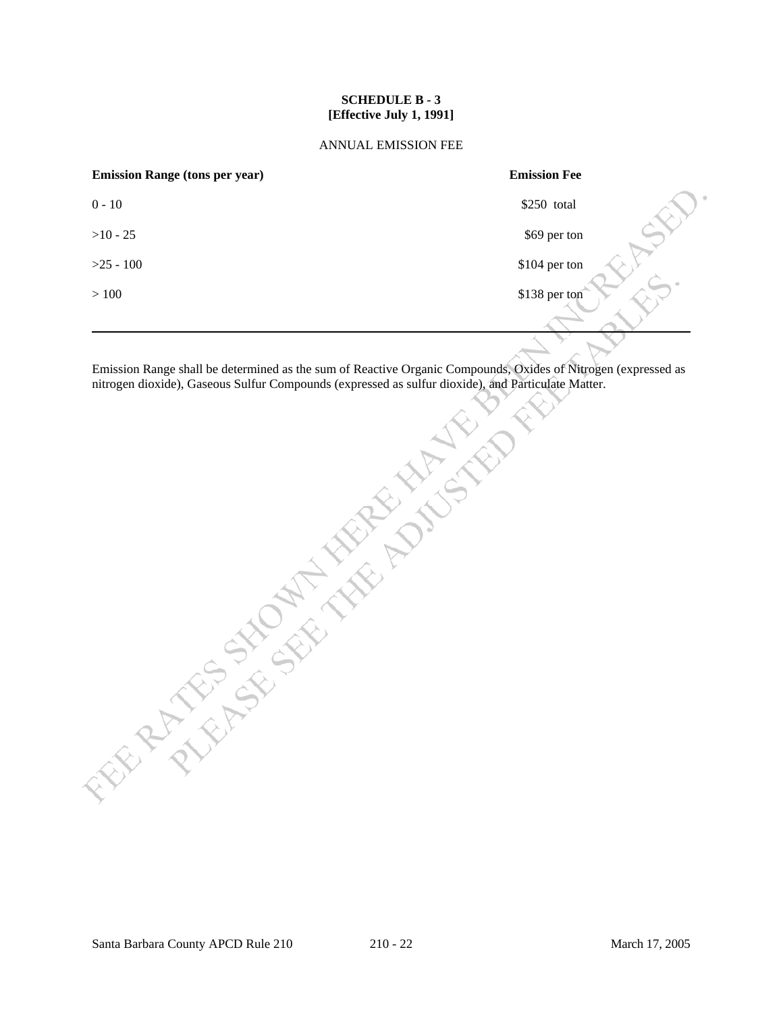## **SCHEDULE B - 3 [Effective July 1, 1991]**

#### ANNUAL EMISSION FEE

| <b>Emission Range (tons per year)</b> | <b>Emission Fee</b> |
|---------------------------------------|---------------------|
| $0 - 10$                              | 0<br>\$250 total    |
| $>10 - 25$                            | \$69 per ton        |
| $>25 - 100$                           | \$104 per ton       |
| >100                                  | \$138 per ton       |
|                                       |                     |

Emission Range shall be determined as the sum of Reactive Organic Compounds, Oxides of Nitrogen (expressed as nitrogen dioxide), Gaseous Sulfur Compounds (expressed as sulfur dioxide), and Particulate Matter.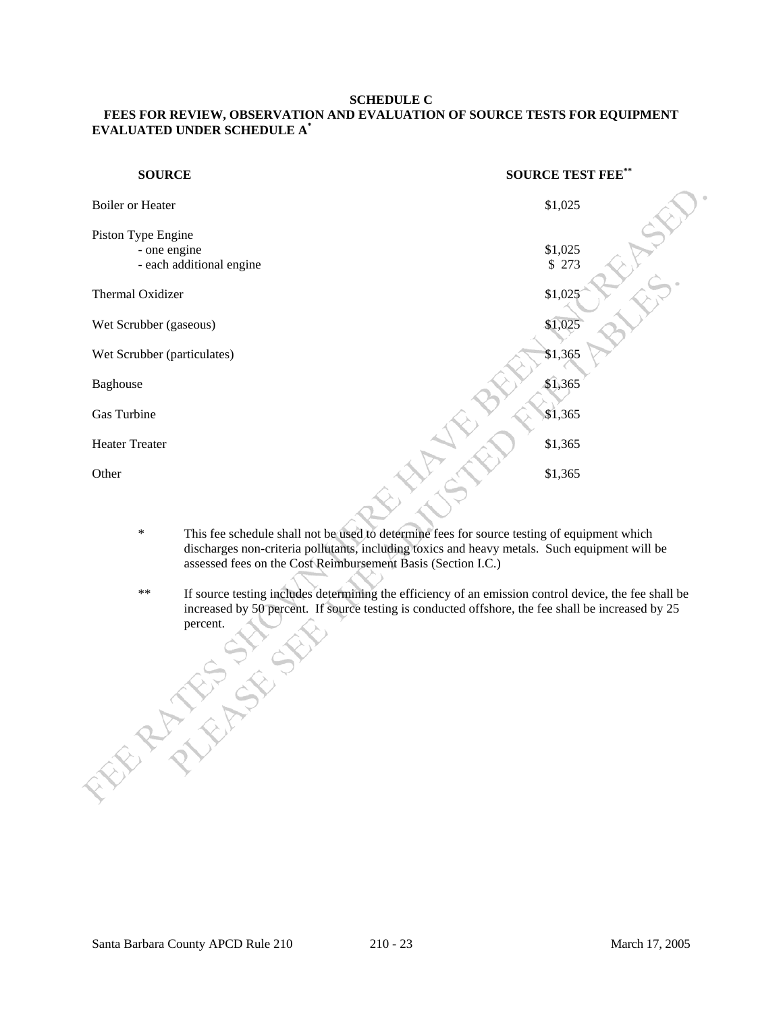#### **SCHEDULE C**

# **FEES FOR REVIEW, OBSERVATION AND EVALUATION OF SOURCE TESTS FOR EQUIPMENT EVALUATED UNDER SCHEDULE A\***

| <b>SOURCE</b>                      | <b>SOURCE TEST FEE**</b> |
|------------------------------------|--------------------------|
| <b>Boiler or Heater</b>            | \$1,025                  |
| Piston Type Engine<br>- one engine | \$1,025                  |
| - each additional engine           | \$ 273                   |
| Thermal Oxidizer                   | \$1,025                  |
| Wet Scrubber (gaseous)             | \$1,025                  |
| Wet Scrubber (particulates)        | \$1,365                  |
| Baghouse                           | \$1,365                  |
| Gas Turbine                        | \$1,365                  |
| <b>Heater Treater</b>              | \$1,365                  |
| Other                              | \$1,365                  |
|                                    |                          |

- \* This fee schedule shall not be used to determine fees for source testing of equipment which discharges non-criteria pollutants, including toxics and heavy metals. Such equipment will be assessed fees on the Cost Reimbursement Basis (Section I.C.)
- \*\* If source testing includes determining the efficiency of an emission control device, the fee shall be increased by 50 percent. If source testing is conducted offshore, the fee shall be increased by 25 **PERCENTER**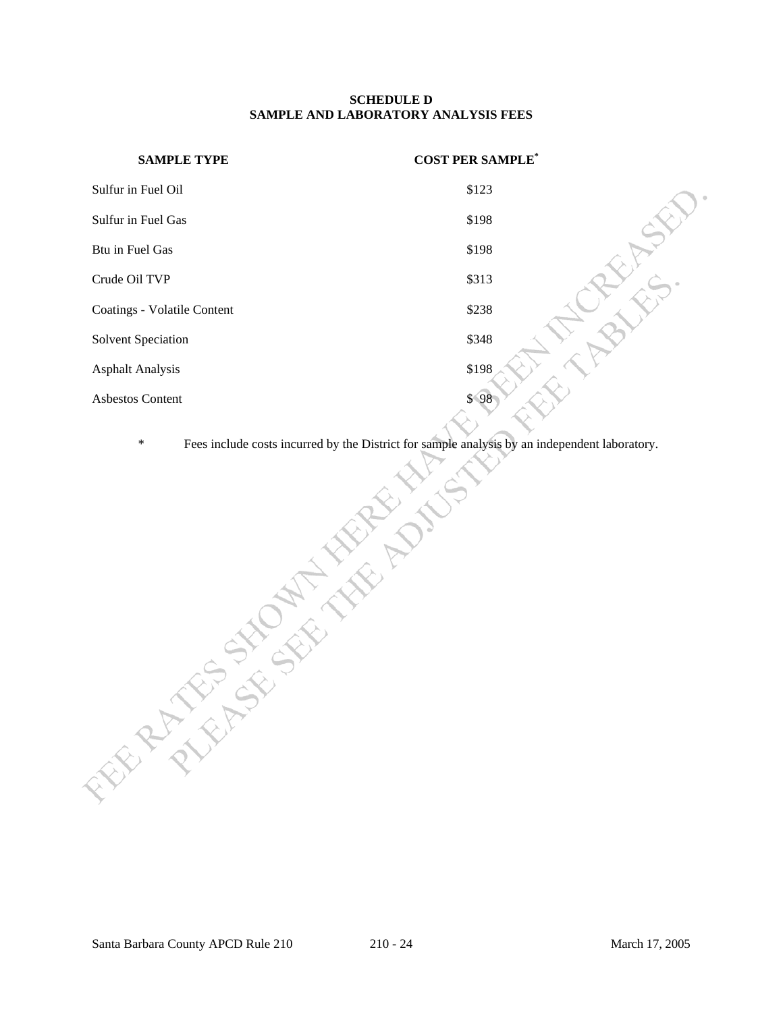#### **SCHEDULE D SAMPLE AND LABORATORY ANALYSIS FEES**

| <b>SAMPLE TYPE</b>          | <b>COST PER SAMPLE</b> * |
|-----------------------------|--------------------------|
| Sulfur in Fuel Oil          | \$123                    |
| Sulfur in Fuel Gas          | \$198                    |
| Btu in Fuel Gas             | \$198                    |
| Crude Oil TVP               | \$313                    |
| Coatings - Volatile Content | \$238                    |
| <b>Solvent Speciation</b>   | \$348                    |
| <b>Asphalt Analysis</b>     | \$198                    |
| <b>Asbestos Content</b>     | \$98                     |

Fees include costs incurred by the District for sample analysis by an independent laboratory.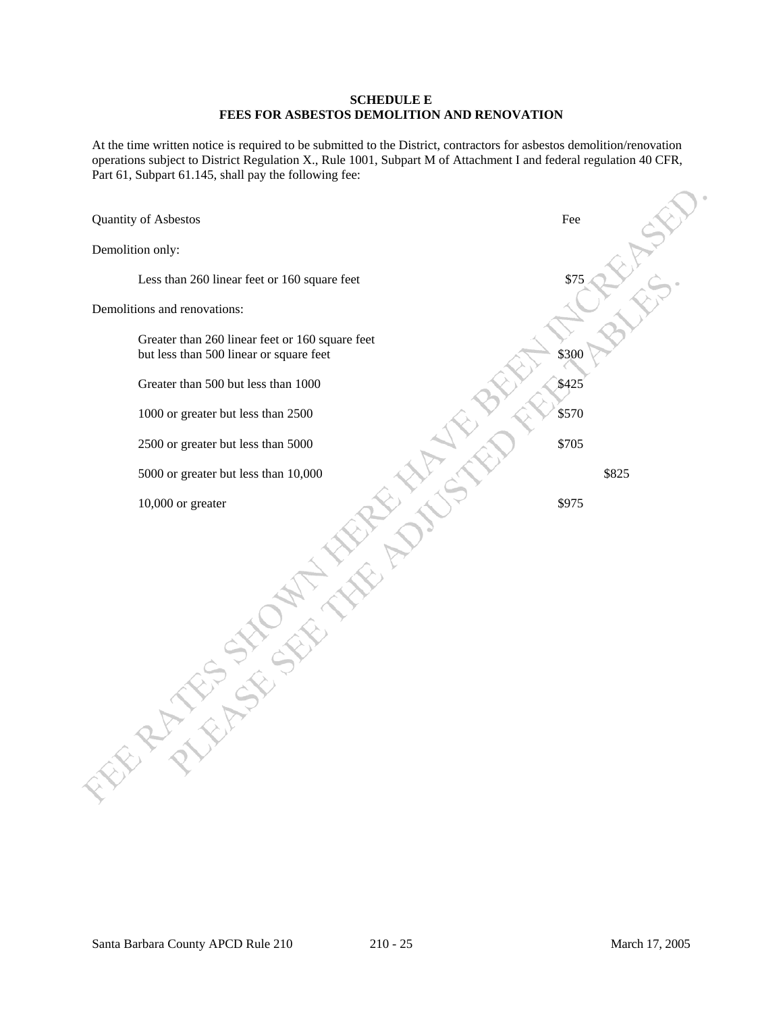#### **SCHEDULE E FEES FOR ASBESTOS DEMOLITION AND RENOVATION**

At the time written notice is required to be submitted to the District, contractors for asbestos demolition/renovation operations subject to District Regulation X., Rule 1001, Subpart M of Attachment I and federal regulation 40 CFR, Part 61, Subpart 61.145, shall pay the following fee:

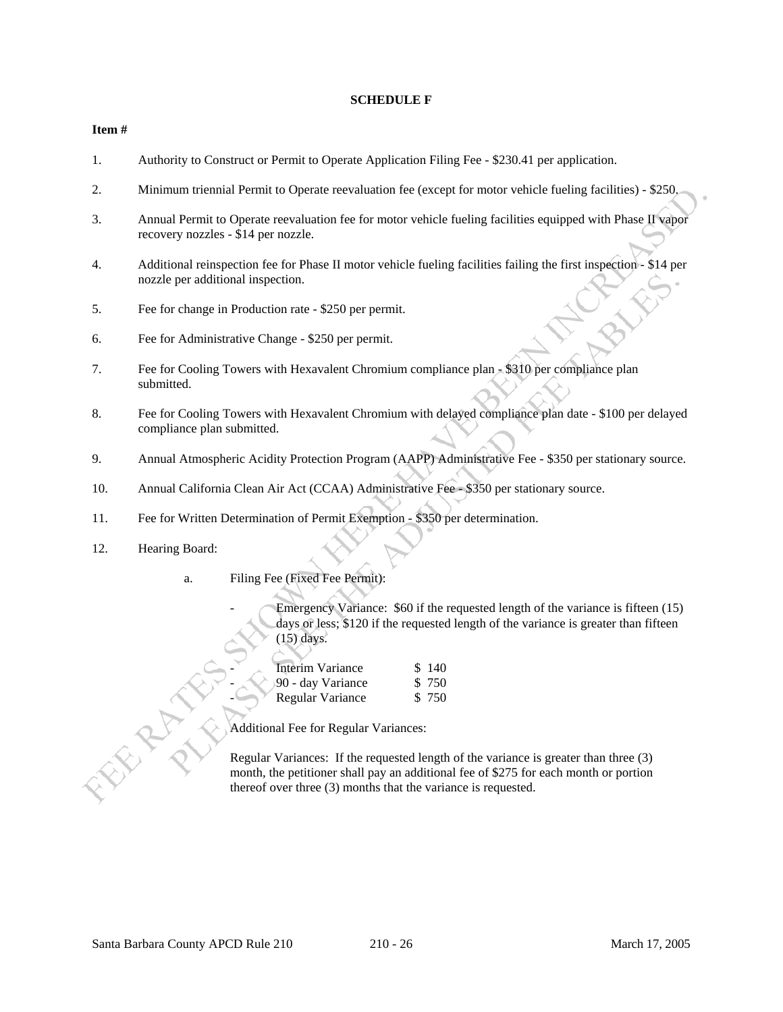#### **SCHEDULE F**

#### **Item #**

- 1. Authority to Construct or Permit to Operate Application Filing Fee \$230.41 per application.
- 2. Minimum triennial Permit to Operate reevaluation fee (except for motor vehicle fueling facilities) \$250.
- 3. Annual Permit to Operate reevaluation fee for motor vehicle fueling facilities equipped with Phase II vapor recovery nozzles - \$14 per nozzle.
- 4. Additional reinspection fee for Phase II motor vehicle fueling facilities failing the first inspection \$14 per nozzle per additional inspection.
- 5. Fee for change in Production rate \$250 per permit.
- 6. Fee for Administrative Change \$250 per permit.
- 7. Fee for Cooling Towers with Hexavalent Chromium compliance plan \$310 per compliance plan submitted.
- 8. Fee for Cooling Towers with Hexavalent Chromium with delayed compliance plan date \$100 per delayed compliance plan submitted.
- 9. Annual Atmospheric Acidity Protection Program (AAPP) Administrative Fee \$350 per stationary source.
- 10. Annual California Clean Air Act (CCAA) Administrative Fee \$350 per stationary source.
- 11. Fee for Written Determination of Permit Exemption \$350 per determination.
- 12. Hearing Board:
	- a. Filing Fee (Fixed Fee Permit):

Emergency Variance: \$60 if the requested length of the variance is fifteen (15) days or less; \$120 if the requested length of the variance is greater than fifteen (15) days.

| Interim Variance  | \$140  |
|-------------------|--------|
| 90 - day Variance | \$ 750 |
| Regular Variance  | \$ 750 |

Additional Fee for Regular Variances:

 Regular Variances: If the requested length of the variance is greater than three (3) month, the petitioner shall pay an additional fee of \$275 for each month or portion thereof over three (3) months that the variance is requested.